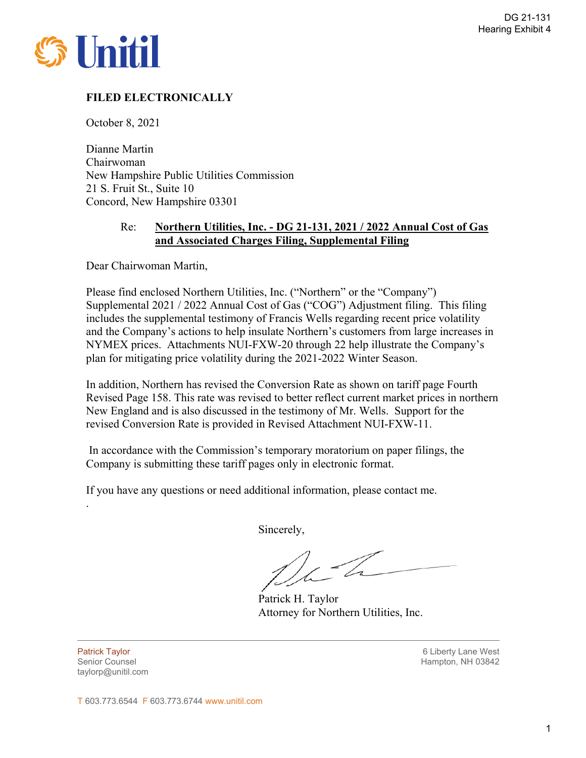

# **FILED ELECTRONICALLY**

October 8, 2021

Dianne Martin Chairwoman New Hampshire Public Utilities Commission 21 S. Fruit St., Suite 10 Concord, New Hampshire 03301

# Re: **Northern Utilities, Inc. - DG 21-131, 2021 / 2022 Annual Cost of Gas and Associated Charges Filing, Supplemental Filing**

Dear Chairwoman Martin,

Please find enclosed Northern Utilities, Inc. ("Northern" or the "Company") Supplemental 2021 / 2022 Annual Cost of Gas ("COG") Adjustment filing. This filing includes the supplemental testimony of Francis Wells regarding recent price volatility and the Company's actions to help insulate Northern's customers from large increases in NYMEX prices. Attachments NUI-FXW-20 through 22 help illustrate the Company's plan for mitigating price volatility during the 2021-2022 Winter Season.

In addition, Northern has revised the Conversion Rate as shown on tariff page Fourth Revised Page 158. This rate was revised to better reflect current market prices in northern New England and is also discussed in the testimony of Mr. Wells. Support for the revised Conversion Rate is provided in Revised Attachment NUI-FXW-11.

 In accordance with the Commission's temporary moratorium on paper filings, the Company is submitting these tariff pages only in electronic format.

If you have any questions or need additional information, please contact me.

Sincerely,

Patrick H. Taylor Attorney for Northern Utilities, Inc.

taylorp@unitil.com

.

Patrick Taylor 6 Liberty Lane West Senior Counsel New York 1988 and the Senior Counsel Hampton, NH 03842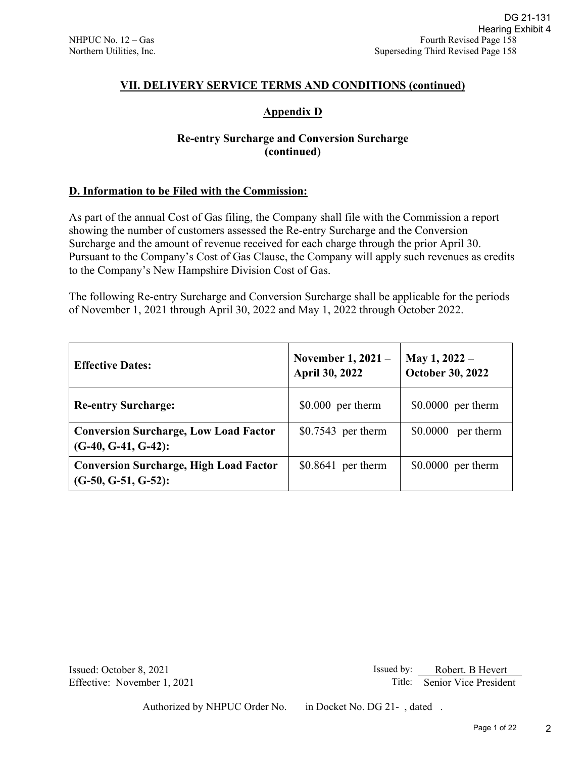# **VII. DELIVERY SERVICE TERMS AND CONDITIONS (continued)**

# **Appendix D**

# **Re-entry Surcharge and Conversion Surcharge (continued)**

# **D. Information to be Filed with the Commission:**

| DG 21-131<br>Hearing Exhibit 4<br>NHPUC No. 12 - Gas<br>Fourth Revised Page 158<br>Superseding Third Revised Page 158<br>Northern Utilities, Inc.                                                                                                                                                                                                                                                                                                                                                                                                                                                                             |                                             |                                          |  |  |  |  |  |  |  |  |  |
|-------------------------------------------------------------------------------------------------------------------------------------------------------------------------------------------------------------------------------------------------------------------------------------------------------------------------------------------------------------------------------------------------------------------------------------------------------------------------------------------------------------------------------------------------------------------------------------------------------------------------------|---------------------------------------------|------------------------------------------|--|--|--|--|--|--|--|--|--|
| VII. DELIVERY SERVICE TERMS AND CONDITIONS (continued)                                                                                                                                                                                                                                                                                                                                                                                                                                                                                                                                                                        |                                             |                                          |  |  |  |  |  |  |  |  |  |
| <b>Appendix D</b>                                                                                                                                                                                                                                                                                                                                                                                                                                                                                                                                                                                                             |                                             |                                          |  |  |  |  |  |  |  |  |  |
| <b>Re-entry Surcharge and Conversion Surcharge</b><br>(continued)                                                                                                                                                                                                                                                                                                                                                                                                                                                                                                                                                             |                                             |                                          |  |  |  |  |  |  |  |  |  |
| D. Information to be Filed with the Commission:                                                                                                                                                                                                                                                                                                                                                                                                                                                                                                                                                                               |                                             |                                          |  |  |  |  |  |  |  |  |  |
| As part of the annual Cost of Gas filing, the Company shall file with the Commission a report<br>showing the number of customers assessed the Re-entry Surcharge and the Conversion<br>Surcharge and the amount of revenue received for each charge through the prior April 30.<br>Pursuant to the Company's Cost of Gas Clause, the Company will apply such revenues as credits<br>to the Company's New Hampshire Division Cost of Gas.<br>The following Re-entry Surcharge and Conversion Surcharge shall be applicable for the periods<br>of November 1, 2021 through April 30, 2022 and May 1, 2022 through October 2022. |                                             |                                          |  |  |  |  |  |  |  |  |  |
| <b>Effective Dates:</b>                                                                                                                                                                                                                                                                                                                                                                                                                                                                                                                                                                                                       | November 1, 2021 –<br><b>April 30, 2022</b> | May 1, 2022 -<br><b>October 30, 2022</b> |  |  |  |  |  |  |  |  |  |
| <b>Re-entry Surcharge:</b>                                                                                                                                                                                                                                                                                                                                                                                                                                                                                                                                                                                                    | $$0.000$ per therm                          | $$0.0000$ per therm                      |  |  |  |  |  |  |  |  |  |
| <b>Conversion Surcharge, Low Load Factor</b><br>$(G-40, G-41, G-42)$ :                                                                                                                                                                                                                                                                                                                                                                                                                                                                                                                                                        | $$0.7543$ per therm                         | \$0.0000 per therm                       |  |  |  |  |  |  |  |  |  |
| <b>Conversion Surcharge, High Load Factor</b><br>$(G-50, G-51, G-52)$ :                                                                                                                                                                                                                                                                                                                                                                                                                                                                                                                                                       | $$0.8641$ per therm                         | $$0.0000$ per therm                      |  |  |  |  |  |  |  |  |  |
| Issued: October 8, 2021                                                                                                                                                                                                                                                                                                                                                                                                                                                                                                                                                                                                       | Issued by:                                  | Robert. B Hevert                         |  |  |  |  |  |  |  |  |  |
| Effective: November 1, 2021                                                                                                                                                                                                                                                                                                                                                                                                                                                                                                                                                                                                   |                                             | Senior Vice President<br>Title:          |  |  |  |  |  |  |  |  |  |
| Authorized by NHPUC Order No.                                                                                                                                                                                                                                                                                                                                                                                                                                                                                                                                                                                                 | in Docket No. DG 21-, dated.                | Page 1 of 22                             |  |  |  |  |  |  |  |  |  |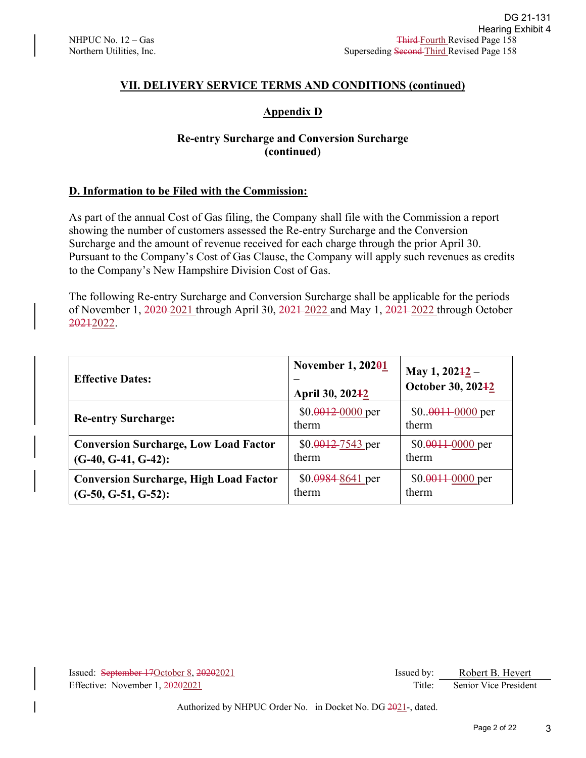# **VII. DELIVERY SERVICE TERMS AND CONDITIONS (continued)**

# **Appendix D**

# **Re-entry Surcharge and Conversion Surcharge (continued)**

# **D. Information to be Filed with the Commission:**

| DG 21-131<br>Hearing Exhibit 4<br>NHPUC No. 12 - Gas<br><b>Third-Fourth Revised Page 158</b><br>Superseding Second Third Revised Page 158<br>Northern Utilities, Inc.                                                                                                                                                                                                                                                                                                                                                                                                                                                                               |                                      |                            |                                           |   |  |  |  |  |  |  |
|-----------------------------------------------------------------------------------------------------------------------------------------------------------------------------------------------------------------------------------------------------------------------------------------------------------------------------------------------------------------------------------------------------------------------------------------------------------------------------------------------------------------------------------------------------------------------------------------------------------------------------------------------------|--------------------------------------|----------------------------|-------------------------------------------|---|--|--|--|--|--|--|
| VII. DELIVERY SERVICE TERMS AND CONDITIONS (continued)                                                                                                                                                                                                                                                                                                                                                                                                                                                                                                                                                                                              |                                      |                            |                                           |   |  |  |  |  |  |  |
| <b>Appendix D</b>                                                                                                                                                                                                                                                                                                                                                                                                                                                                                                                                                                                                                                   |                                      |                            |                                           |   |  |  |  |  |  |  |
| <b>Re-entry Surcharge and Conversion Surcharge</b><br>(continued)                                                                                                                                                                                                                                                                                                                                                                                                                                                                                                                                                                                   |                                      |                            |                                           |   |  |  |  |  |  |  |
| D. Information to be Filed with the Commission:                                                                                                                                                                                                                                                                                                                                                                                                                                                                                                                                                                                                     |                                      |                            |                                           |   |  |  |  |  |  |  |
| As part of the annual Cost of Gas filing, the Company shall file with the Commission a report<br>showing the number of customers assessed the Re-entry Surcharge and the Conversion<br>Surcharge and the amount of revenue received for each charge through the prior April 30.<br>Pursuant to the Company's Cost of Gas Clause, the Company will apply such revenues as credits<br>to the Company's New Hampshire Division Cost of Gas.<br>The following Re-entry Surcharge and Conversion Surcharge shall be applicable for the periods<br>of November 1, 2020-2021 through April 30, 2021-2022 and May 1, 2021-2022 through October<br>20212022. |                                      |                            |                                           |   |  |  |  |  |  |  |
| <b>Effective Dates:</b>                                                                                                                                                                                                                                                                                                                                                                                                                                                                                                                                                                                                                             | November 1, 20201<br>April 30, 20242 | May 1, 202 <sup>1</sup> 2- | October 30, 20242                         |   |  |  |  |  |  |  |
| <b>Re-entry Surcharge:</b>                                                                                                                                                                                                                                                                                                                                                                                                                                                                                                                                                                                                                          | \$0.00120000 per<br>therm            | therm                      | $$00011-0000$ per                         |   |  |  |  |  |  |  |
| <b>Conversion Surcharge, Low Load Factor</b><br>$(G-40, G-41, G-42)$ :                                                                                                                                                                                                                                                                                                                                                                                                                                                                                                                                                                              | \$0.0012-7543 per<br>therm           | therm                      | \$0.0011-0000 per                         |   |  |  |  |  |  |  |
| <b>Conversion Surcharge, High Load Factor</b><br>$(G-50, G-51, G-52)$ :                                                                                                                                                                                                                                                                                                                                                                                                                                                                                                                                                                             | $$0.09848641$ per<br>therm           | therm                      | $$0.0011 - 0000$ per                      |   |  |  |  |  |  |  |
| Issued: September 17October 8, 20202021                                                                                                                                                                                                                                                                                                                                                                                                                                                                                                                                                                                                             |                                      | Issued by:                 | Robert B. Hevert<br>Senior Vice President |   |  |  |  |  |  |  |
| Effective: November 1, 20202021<br>Authorized by NHPUC Order No. in Docket No. DG 2021-, dated.                                                                                                                                                                                                                                                                                                                                                                                                                                                                                                                                                     |                                      | Title:                     |                                           |   |  |  |  |  |  |  |
|                                                                                                                                                                                                                                                                                                                                                                                                                                                                                                                                                                                                                                                     |                                      |                            | Page 2 of 22                              | 3 |  |  |  |  |  |  |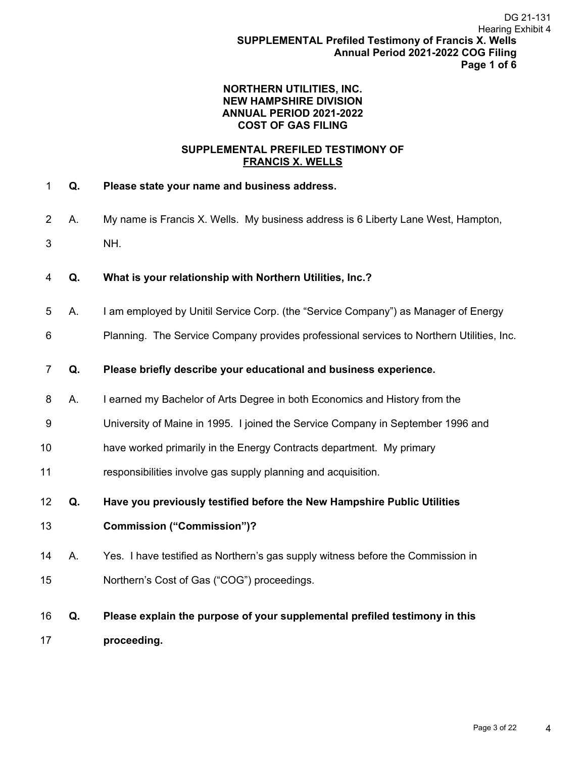### **NORTHERN UTILITIES, INC. NEW HAMPSHIRE DIVISION ANNUAL PERIOD 2021-2022 COST OF GAS FILING**

## **SUPPLEMENTAL PREFILED TESTIMONY OF FRANCIS X. WELLS**

- 1 **Q. Please state your name and business address.**
- 2 A. My name is Francis X. Wells. My business address is 6 Liberty Lane West, Hampton, 3 NH.
- 4 **Q. What is your relationship with Northern Utilities, Inc.?**
- 5 A. I am employed by Unitil Service Corp. (the "Service Company") as Manager of Energy
- 6 Planning. The Service Company provides professional services to Northern Utilities, Inc.
- 7 **Q. Please briefly describe your educational and business experience.**
- 8 A. I earned my Bachelor of Arts Degree in both Economics and History from the
- 9 University of Maine in 1995. I joined the Service Company in September 1996 and
- 10 have worked primarily in the Energy Contracts department. My primary
- 11 responsibilities involve gas supply planning and acquisition.
- 12 **Q. Have you previously testified before the New Hampshire Public Utilities**
- 13 **Commission ("Commission")?**
- 14 A. Yes. I have testified as Northern's gas supply witness before the Commission in 15 Northern's Cost of Gas ("COG") proceedings.
- 16 **Q. Please explain the purpose of your supplemental prefiled testimony in this**  17 **proceeding.**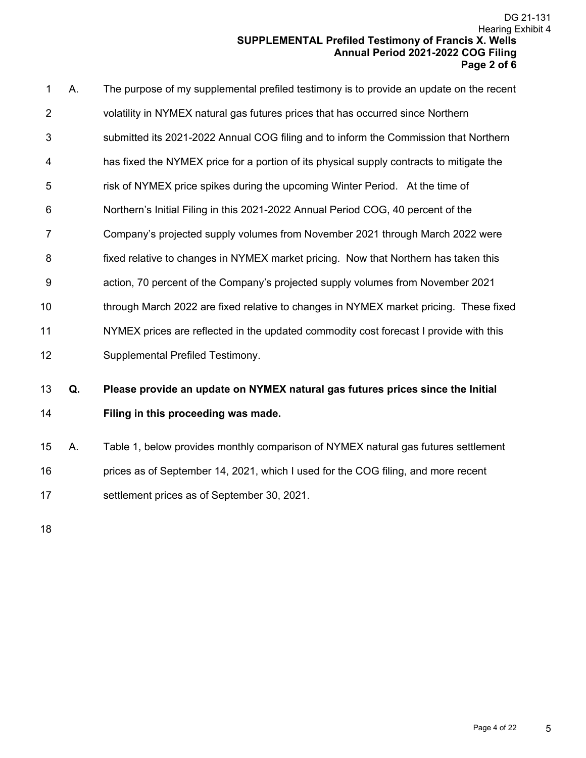|                |    | DG 21-131<br><b>Hearing Exhibit 4</b><br><b>SUPPLEMENTAL Prefiled Testimony of Francis X. Wells</b><br>Annual Period 2021-2022 COG Filing<br>Page 2 of 6 |
|----------------|----|----------------------------------------------------------------------------------------------------------------------------------------------------------|
| 1              | Α. | The purpose of my supplemental prefiled testimony is to provide an update on the recent                                                                  |
| 2              |    | volatility in NYMEX natural gas futures prices that has occurred since Northern                                                                          |
| 3              |    | submitted its 2021-2022 Annual COG filing and to inform the Commission that Northern                                                                     |
| 4              |    | has fixed the NYMEX price for a portion of its physical supply contracts to mitigate the                                                                 |
| 5              |    | risk of NYMEX price spikes during the upcoming Winter Period. At the time of                                                                             |
| 6              |    | Northern's Initial Filing in this 2021-2022 Annual Period COG, 40 percent of the                                                                         |
| 7              |    | Company's projected supply volumes from November 2021 through March 2022 were                                                                            |
| 8              |    | fixed relative to changes in NYMEX market pricing. Now that Northern has taken this                                                                      |
| 9              |    | action, 70 percent of the Company's projected supply volumes from November 2021                                                                          |
| 10             |    | through March 2022 are fixed relative to changes in NYMEX market pricing. These fixed                                                                    |
| 11             |    | NYMEX prices are reflected in the updated commodity cost forecast I provide with this                                                                    |
| 12             |    | Supplemental Prefiled Testimony.                                                                                                                         |
|                |    |                                                                                                                                                          |
|                | Q. | Please provide an update on NYMEX natural gas futures prices since the Initial                                                                           |
|                |    | Filing in this proceeding was made.                                                                                                                      |
| 13<br>14<br>15 | А. | Table 1, below provides monthly comparison of NYMEX natural gas futures settlement                                                                       |
| 16             |    | prices as of September 14, 2021, which I used for the COG filing, and more recent                                                                        |
| 17             |    | settlement prices as of September 30, 2021.                                                                                                              |
|                |    |                                                                                                                                                          |
| 18             |    |                                                                                                                                                          |
|                |    |                                                                                                                                                          |
|                |    |                                                                                                                                                          |
|                |    |                                                                                                                                                          |
|                |    |                                                                                                                                                          |
|                |    |                                                                                                                                                          |
|                |    |                                                                                                                                                          |

18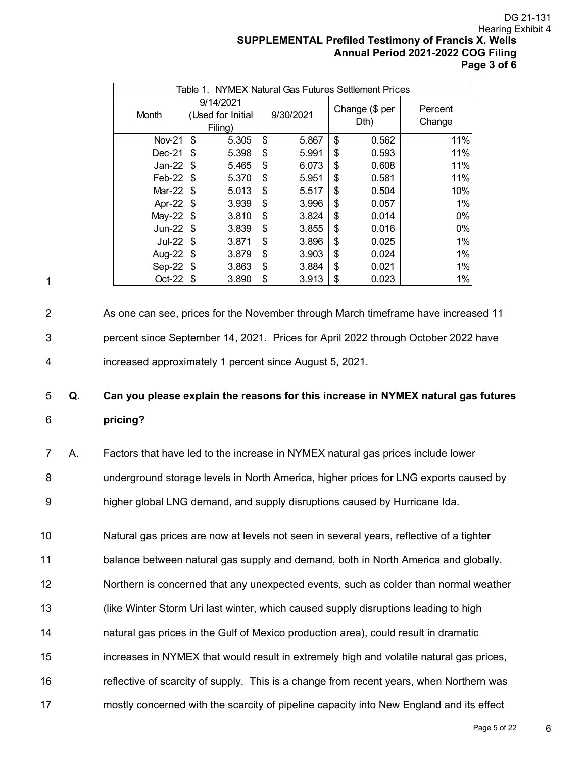DG 21-131 DG 21-131<br>Hearing Exhibit 4<br>**X. Wells**<br>**X. Wells**<br>**DG Filing**<br>ge 3 of 6<br>sed 11<br>have<br>sed 11<br>have<br>s futures<br>sed 11<br>have<br>prices,<br>prices,<br>prices,<br>prices,<br>ern was<br>s effect<br> $Page = 5$  of 22 Hearing Exhibit 4 **SUPPLEMENTAL Prefiled Testimony of Francis X. Wells Annual Period 2021-2022 COG Filing Page 3 of 6** 

| NYMEX Natural Gas Futures Settlement Prices<br>Table 1. |    |                                           |                   |       |    |       |     |  |  |  |  |
|---------------------------------------------------------|----|-------------------------------------------|-------------------|-------|----|-------|-----|--|--|--|--|
| Month                                                   |    | 9/14/2021<br>(Used for Initial<br>Filing) | Percent<br>Change |       |    |       |     |  |  |  |  |
| <b>Nov-21</b>                                           | \$ | 5.305                                     | \$                | 5.867 | \$ | 0.562 | 11% |  |  |  |  |
| $Dec-21$                                                | \$ | 5.398                                     | \$                | 5.991 | \$ | 0.593 | 11% |  |  |  |  |
| $Jan-22$                                                | \$ | 5.465                                     | \$                | 6.073 | \$ | 0.608 | 11% |  |  |  |  |
| $Feb-22$                                                | S  | 5.370                                     | \$                | 5.951 | \$ | 0.581 | 11% |  |  |  |  |
| Mar-22                                                  | \$ | 5.013                                     | \$                | 5.517 | \$ | 0.504 | 10% |  |  |  |  |
| Apr-22                                                  | \$ | 3.939                                     | \$                | 3.996 | \$ | 0.057 | 1%  |  |  |  |  |
| $May-22$                                                | \$ | 3.810                                     | \$                | 3.824 | \$ | 0.014 | 0%  |  |  |  |  |
| Jun-22                                                  | \$ | 3.839                                     | \$                | 3.855 | \$ | 0.016 | 0%  |  |  |  |  |
| <b>Jul-22</b>                                           | \$ | 3.871                                     | \$                | 3.896 | \$ | 0.025 | 1%  |  |  |  |  |
| <b>Aug-22</b>                                           | \$ | 3.879                                     | \$                | 3.903 | \$ | 0.024 | 1%  |  |  |  |  |
| Sep-22                                                  | \$ | 3.863                                     | \$                | 3.884 | \$ | 0.021 | 1%  |  |  |  |  |
| Oct-22                                                  | \$ | 3.890                                     | \$                | 3.913 | \$ | 0.023 | 1%  |  |  |  |  |

1

2 As one can see, prices for the November through March timeframe have increased 11 3 percent since September 14, 2021. Prices for April 2022 through October 2022 have 4 increased approximately 1 percent since August 5, 2021.

# 5 **Q. Can you please explain the reasons for this increase in NYMEX natural gas futures**  6 **pricing?**

7 A. Factors that have led to the increase in NYMEX natural gas prices include lower 8 underground storage levels in North America, higher prices for LNG exports caused by 9 higher global LNG demand, and supply disruptions caused by Hurricane Ida.

10 Natural gas prices are now at levels not seen in several years, reflective of a tighter

11 balance between natural gas supply and demand, both in North America and globally.

12 Northern is concerned that any unexpected events, such as colder than normal weather

13 (like Winter Storm Uri last winter, which caused supply disruptions leading to high

14 natural gas prices in the Gulf of Mexico production area), could result in dramatic

- 15 increases in NYMEX that would result in extremely high and volatile natural gas prices,
- 16 reflective of scarcity of supply. This is a change from recent years, when Northern was
- 17 mostly concerned with the scarcity of pipeline capacity into New England and its effect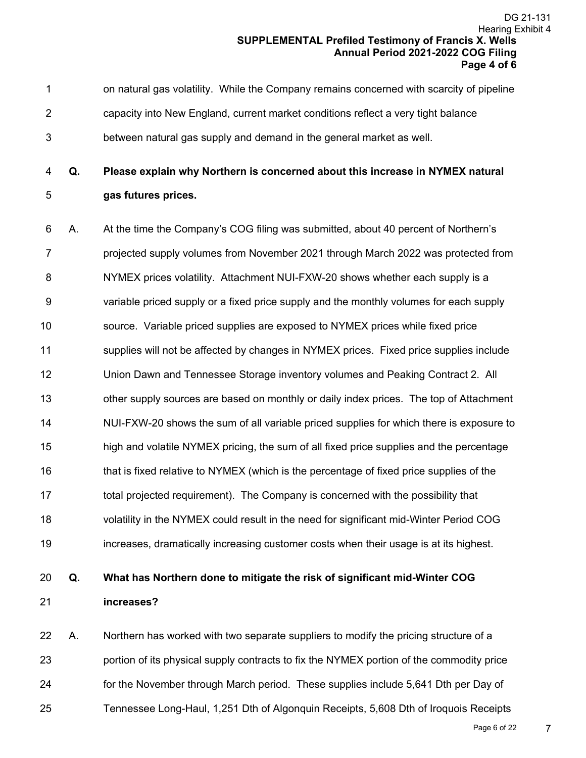1 on natural gas volatility. While the Company remains concerned with scarcity of pipeline 2 capacity into New England, current market conditions reflect a very tight balance 3 between natural gas supply and demand in the general market as well.

4 **Q. Please explain why Northern is concerned about this increase in NYMEX natural**  5 **gas futures prices.** 

6 A. At the time the Company's COG filing was submitted, about 40 percent of Northern's 7 projected supply volumes from November 2021 through March 2022 was protected from 8 NYMEX prices volatility. Attachment NUI-FXW-20 shows whether each supply is a 9 variable priced supply or a fixed price supply and the monthly volumes for each supply 10 source. Variable priced supplies are exposed to NYMEX prices while fixed price 11 supplies will not be affected by changes in NYMEX prices. Fixed price supplies include 12 Union Dawn and Tennessee Storage inventory volumes and Peaking Contract 2. All 13 other supply sources are based on monthly or daily index prices. The top of Attachment 14 NUI-FXW-20 shows the sum of all variable priced supplies for which there is exposure to 15 high and volatile NYMEX pricing, the sum of all fixed price supplies and the percentage 16 that is fixed relative to NYMEX (which is the percentage of fixed price supplies of the 17 total projected requirement). The Company is concerned with the possibility that 18 volatility in the NYMEX could result in the need for significant mid-Winter Period COG 19 increases, dramatically increasing customer costs when their usage is at its highest. DG 21-131<br>Hearing Exhibit 4<br>**X. Wells**<br>**X. Wells**<br>**DG Filing**<br>ge 4 of 6<br>f pipeline<br>e<br>and transpection<br>of 6<br>pipeline<br>e<br>and transpection<br>is a<br>include<br>2. All<br>achment<br>bosure to<br>centage<br>of the<br>techt is a<br>include<br>2. All<br>achment<br>

# 20 **Q. What has Northern done to mitigate the risk of significant mid-Winter COG**  21 **increases?**

22 A. Northern has worked with two separate suppliers to modify the pricing structure of a 23 portion of its physical supply contracts to fix the NYMEX portion of the commodity price 24 for the November through March period. These supplies include 5,641 Dth per Day of 25 Tennessee Long-Haul, 1,251 Dth of Algonquin Receipts, 5,608 Dth of Iroquois Receipts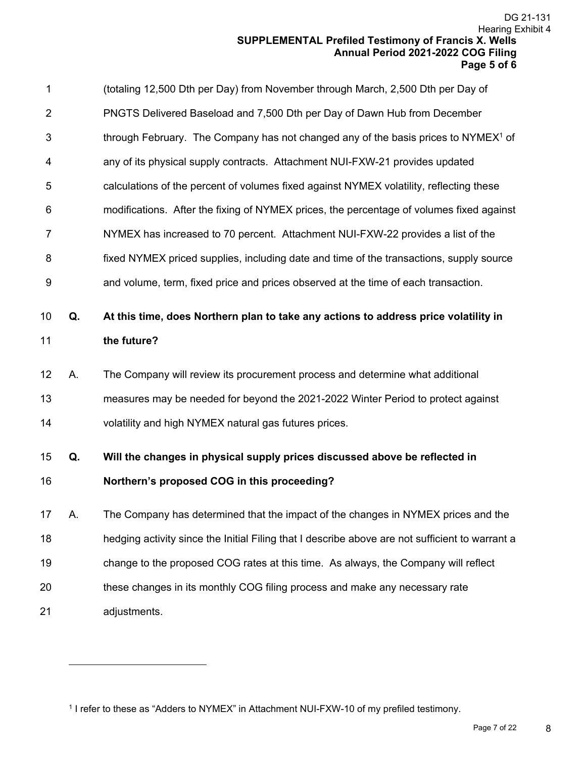|    |    | DG 21-131<br>Hearing Exhibit 4<br><b>SUPPLEMENTAL Prefiled Testimony of Francis X. Wells</b><br>Annual Period 2021-2022 COG Filing<br>Page 5 of 6 |   |
|----|----|---------------------------------------------------------------------------------------------------------------------------------------------------|---|
| 1  |    | (totaling 12,500 Dth per Day) from November through March, 2,500 Dth per Day of                                                                   |   |
| 2  |    | PNGTS Delivered Baseload and 7,500 Dth per Day of Dawn Hub from December                                                                          |   |
| 3  |    | through February. The Company has not changed any of the basis prices to NYMEX <sup>1</sup> of                                                    |   |
| 4  |    | any of its physical supply contracts. Attachment NUI-FXW-21 provides updated                                                                      |   |
| 5  |    | calculations of the percent of volumes fixed against NYMEX volatility, reflecting these                                                           |   |
| 6  |    | modifications. After the fixing of NYMEX prices, the percentage of volumes fixed against                                                          |   |
| 7  |    | NYMEX has increased to 70 percent. Attachment NUI-FXW-22 provides a list of the                                                                   |   |
| 8  |    | fixed NYMEX priced supplies, including date and time of the transactions, supply source                                                           |   |
| 9  |    | and volume, term, fixed price and prices observed at the time of each transaction.                                                                |   |
| 10 | Q. | At this time, does Northern plan to take any actions to address price volatility in                                                               |   |
| 11 |    | the future?                                                                                                                                       |   |
| 12 | Α. | The Company will review its procurement process and determine what additional                                                                     |   |
| 13 |    | measures may be needed for beyond the 2021-2022 Winter Period to protect against                                                                  |   |
| 14 |    | volatility and high NYMEX natural gas futures prices.                                                                                             |   |
| 15 | Q. | Will the changes in physical supply prices discussed above be reflected in                                                                        |   |
| 16 |    | Northern's proposed COG in this proceeding?                                                                                                       |   |
| 17 | Α. | The Company has determined that the impact of the changes in NYMEX prices and the                                                                 |   |
| 18 |    | hedging activity since the Initial Filing that I describe above are not sufficient to warrant a                                                   |   |
| 19 |    | change to the proposed COG rates at this time. As always, the Company will reflect                                                                |   |
| 20 |    | these changes in its monthly COG filing process and make any necessary rate                                                                       |   |
| 21 |    | adjustments.                                                                                                                                      |   |
|    |    |                                                                                                                                                   |   |
|    |    |                                                                                                                                                   |   |
|    |    |                                                                                                                                                   |   |
|    |    | <sup>1</sup> I refer to these as "Adders to NYMEX" in Attachment NUI-FXW-10 of my prefiled testimony.<br>Page 7 of 22                             | 8 |

<sup>1</sup> I refer to these as "Adders to NYMEX" in Attachment NUI-FXW-10 of my prefiled testimony.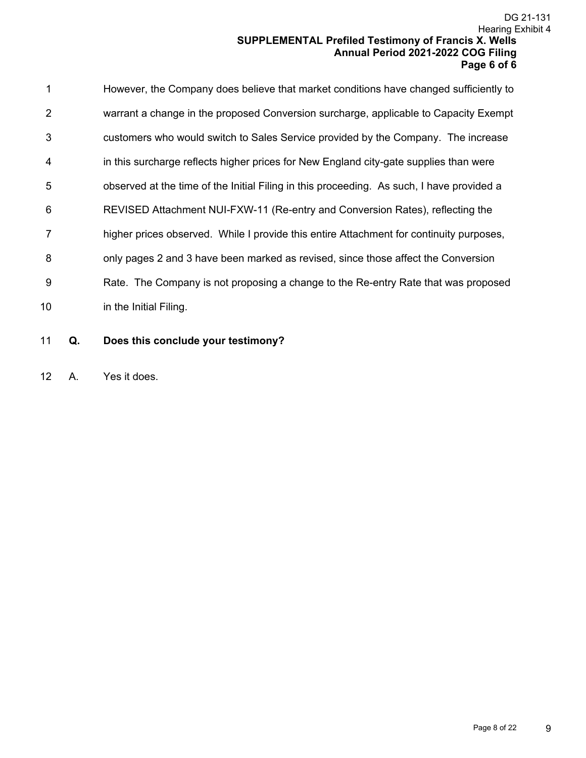|                |    | Hearing Exhibit 4<br><b>SUPPLEMENTAL Prefiled Testimony of Francis X. Wells</b><br>Annual Period 2021-2022 COG Filing<br>Page 6 of 6 | DG 21-131 |
|----------------|----|--------------------------------------------------------------------------------------------------------------------------------------|-----------|
| 1              |    | However, the Company does believe that market conditions have changed sufficiently to                                                |           |
| $\overline{2}$ |    | warrant a change in the proposed Conversion surcharge, applicable to Capacity Exempt                                                 |           |
| 3              |    | customers who would switch to Sales Service provided by the Company. The increase                                                    |           |
| 4              |    | in this surcharge reflects higher prices for New England city-gate supplies than were                                                |           |
| 5              |    | observed at the time of the Initial Filing in this proceeding. As such, I have provided a                                            |           |
| 6              |    | REVISED Attachment NUI-FXW-11 (Re-entry and Conversion Rates), reflecting the                                                        |           |
| 7              |    | higher prices observed. While I provide this entire Attachment for continuity purposes,                                              |           |
| 8              |    | only pages 2 and 3 have been marked as revised, since those affect the Conversion                                                    |           |
| 9              |    | Rate. The Company is not proposing a change to the Re-entry Rate that was proposed                                                   |           |
| 10             |    | in the Initial Filing.                                                                                                               |           |
| 11             | Q. | Does this conclude your testimony?                                                                                                   |           |
| 12             | Α. | Yes it does.                                                                                                                         |           |
|                |    |                                                                                                                                      |           |
|                |    |                                                                                                                                      |           |
|                |    |                                                                                                                                      |           |
|                |    |                                                                                                                                      |           |
|                |    |                                                                                                                                      |           |
|                |    |                                                                                                                                      |           |
|                |    |                                                                                                                                      |           |
|                |    |                                                                                                                                      |           |
|                |    |                                                                                                                                      |           |
|                |    |                                                                                                                                      |           |
|                |    |                                                                                                                                      |           |
|                |    |                                                                                                                                      |           |
|                |    |                                                                                                                                      |           |
|                |    | Page 8 of 22                                                                                                                         | 9         |

- 11 **Q. Does this conclude your testimony?**
- 12 A. Yes it does.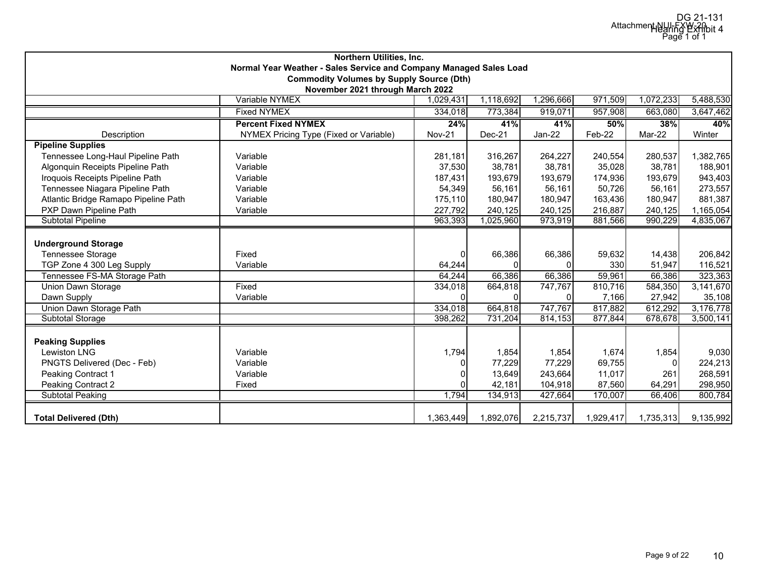| Northern Utilities, Inc.                                                                   |                                        |               |           |           |           |           |           |  |  |  |  |
|--------------------------------------------------------------------------------------------|----------------------------------------|---------------|-----------|-----------|-----------|-----------|-----------|--|--|--|--|
| Normal Year Weather - Sales Service and Company Managed Sales Load                         |                                        |               |           |           |           |           |           |  |  |  |  |
| <b>Commodity Volumes by Supply Source (Dth)</b>                                            |                                        |               |           |           |           |           |           |  |  |  |  |
| November 2021 through March 2022                                                           |                                        |               |           |           |           |           |           |  |  |  |  |
| Variable NYMEX<br>1,118,692<br>1,296,666<br>971,509<br>1,072,233<br>5,488,530<br>1,029,431 |                                        |               |           |           |           |           |           |  |  |  |  |
| <b>Fixed NYMEX</b><br>334,018<br>957,908<br>773,384<br>919,071<br>663,080<br>3,647,462     |                                        |               |           |           |           |           |           |  |  |  |  |
|                                                                                            | 50%                                    | 38%           | 40%       |           |           |           |           |  |  |  |  |
| Description                                                                                | NYMEX Pricing Type (Fixed or Variable) | <b>Nov-21</b> | Dec-21    | $Jan-22$  | Feb-22    | Mar-22    | Winter    |  |  |  |  |
| <b>Pipeline Supplies</b>                                                                   |                                        |               |           |           |           |           |           |  |  |  |  |
| Tennessee Long-Haul Pipeline Path                                                          | Variable                               | 281,181       | 316,267   | 264,227   | 240,554   | 280,537   | 1,382,765 |  |  |  |  |
| Algonquin Receipts Pipeline Path                                                           | Variable                               | 37,530        | 38,781    | 38,781    | 35,028    | 38,781    | 188,901   |  |  |  |  |
| Iroquois Receipts Pipeline Path                                                            | Variable                               | 187,431       | 193,679   | 193,679   | 174,936   | 193,679   | 943,403   |  |  |  |  |
| Tennessee Niagara Pipeline Path                                                            | Variable                               | 54,349        | 56,161    | 56,161    | 50,726    | 56,161    | 273,557   |  |  |  |  |
| Atlantic Bridge Ramapo Pipeline Path                                                       | Variable                               | 175,110       | 180,947   | 180,947   | 163,436   | 180,947   | 881,387   |  |  |  |  |
| PXP Dawn Pipeline Path                                                                     | Variable                               | 227,792       | 240,125   | 240,125   | 216,887   | 240,125   | 1,165,054 |  |  |  |  |
| <b>Subtotal Pipeline</b>                                                                   |                                        | 963,393       | 1,025,960 | 973,919   | 881,566   | 990,229   | 4,835,067 |  |  |  |  |
|                                                                                            |                                        |               |           |           |           |           |           |  |  |  |  |
| <b>Underground Storage</b>                                                                 |                                        |               |           |           |           |           |           |  |  |  |  |
| Tennessee Storage                                                                          | Fixed                                  | $\Omega$      | 66,386    | 66,386    | 59,632    | 14,438    | 206,842   |  |  |  |  |
| TGP Zone 4 300 Leg Supply                                                                  | Variable                               | 64,244        |           |           | 330       | 51,947    | 116,521   |  |  |  |  |
| Tennessee FS-MA Storage Path                                                               |                                        | 64,244        | 66,386    | 66,386    | 59,961    | 66,386    | 323,363   |  |  |  |  |
| <b>Union Dawn Storage</b>                                                                  | Fixed                                  | 334,018       | 664,818   | 747,767   | 810,716   | 584,350   | 3,141,670 |  |  |  |  |
| Dawn Supply                                                                                | Variable                               | $\Omega$      |           |           | 7,166     | 27.942    | 35,108    |  |  |  |  |
| Union Dawn Storage Path                                                                    |                                        | 334,018       | 664,818   | 747,767   | 817,882   | 612,292   | 3,176,778 |  |  |  |  |
| <b>Subtotal Storage</b>                                                                    |                                        | 398,262       | 731,204   | 814,153   | 877,844   | 678,678   | 3,500,141 |  |  |  |  |
|                                                                                            |                                        |               |           |           |           |           |           |  |  |  |  |
| <b>Peaking Supplies</b>                                                                    |                                        |               |           |           |           |           |           |  |  |  |  |
| <b>Lewiston LNG</b>                                                                        | Variable                               | 1,794         | 1,854     | 1,854     | 1,674     | 1,854     | 9,030     |  |  |  |  |
| PNGTS Delivered (Dec - Feb)                                                                | Variable                               | $\Omega$      | 77,229    | 77,229    | 69,755    | $\Omega$  | 224,213   |  |  |  |  |
| Peaking Contract 1<br>Variable                                                             |                                        |               | 13,649    | 243,664   | 11,017    | 261       | 268,591   |  |  |  |  |
| Peaking Contract 2                                                                         | Fixed                                  | $\Omega$      | 42,181    | 104,918   | 87,560    | 64,291    | 298,950   |  |  |  |  |
| <b>Subtotal Peaking</b>                                                                    |                                        | 1,794         | 134,913   | 427,664   | 170,007   | 66,406    | 800,784   |  |  |  |  |
|                                                                                            |                                        |               |           |           |           |           |           |  |  |  |  |
| <b>Total Delivered (Dth)</b>                                                               |                                        | 1,363,449     | 1,892,076 | 2,215,737 | 1,929,417 | 1,735,313 | 9,135,992 |  |  |  |  |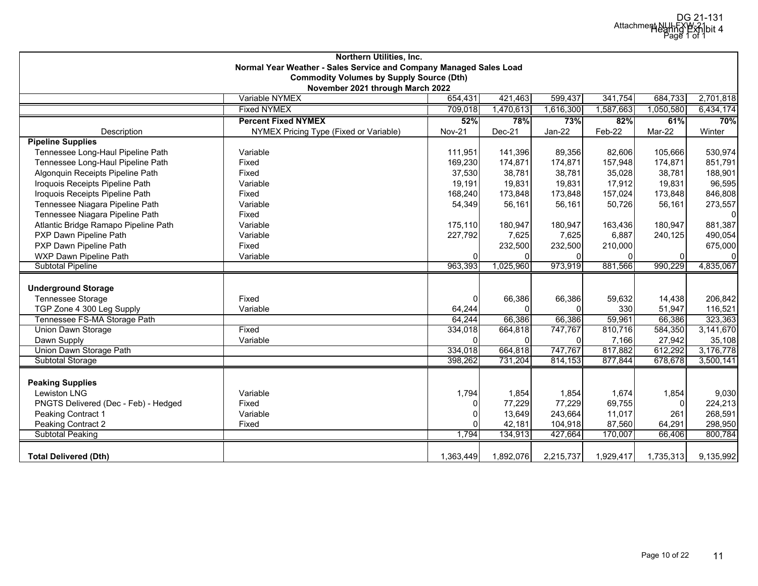| Northern Utilities, Inc.                                           |                                                 |               |           |           |           |           |                  |  |  |  |
|--------------------------------------------------------------------|-------------------------------------------------|---------------|-----------|-----------|-----------|-----------|------------------|--|--|--|
| Normal Year Weather - Sales Service and Company Managed Sales Load |                                                 |               |           |           |           |           |                  |  |  |  |
|                                                                    | <b>Commodity Volumes by Supply Source (Dth)</b> |               |           |           |           |           |                  |  |  |  |
| November 2021 through March 2022                                   |                                                 |               |           |           |           |           |                  |  |  |  |
|                                                                    | Variable NYMEX                                  | 654,431       | 421,463   | 599,437   | 341,754   | 684,733   | 2,701,818        |  |  |  |
|                                                                    | <b>Fixed NYMEX</b>                              | 709,018       | 1,470,613 | 1,616,300 | 1,587,663 | 1,050,580 | 6,434,174<br>70% |  |  |  |
| <b>Percent Fixed NYMEX</b><br>52%<br>78%<br>73%<br>82%<br>61%      |                                                 |               |           |           |           |           |                  |  |  |  |
| Description                                                        | NYMEX Pricing Type (Fixed or Variable)          | <b>Nov-21</b> | Dec-21    | Jan-22    | Feb-22    | Mar-22    | Winter           |  |  |  |
| <b>Pipeline Supplies</b>                                           |                                                 |               |           |           |           |           |                  |  |  |  |
| Tennessee Long-Haul Pipeline Path                                  | Variable                                        | 111,951       | 141,396   | 89,356    | 82,606    | 105,666   | 530,974          |  |  |  |
| Tennessee Long-Haul Pipeline Path                                  | Fixed                                           | 169,230       | 174,871   | 174,871   | 157,948   | 174,871   | 851,791          |  |  |  |
| Algonquin Receipts Pipeline Path                                   | Fixed                                           | 37,530        | 38,781    | 38,781    | 35,028    | 38,781    | 188,901          |  |  |  |
| Iroquois Receipts Pipeline Path                                    | Variable                                        | 19,191        | 19,831    | 19,831    | 17,912    | 19,831    | 96,595           |  |  |  |
| Iroquois Receipts Pipeline Path                                    | Fixed                                           | 168,240       | 173,848   | 173,848   | 157,024   | 173,848   | 846,808          |  |  |  |
| Tennessee Niagara Pipeline Path                                    | Variable                                        | 54,349        | 56,161    | 56,161    | 50,726    | 56,161    | 273,557          |  |  |  |
| Tennessee Niagara Pipeline Path                                    | Fixed                                           |               |           |           |           |           | $\mathbf{0}$     |  |  |  |
| Atlantic Bridge Ramapo Pipeline Path                               | Variable                                        | 175,110       | 180,947   | 180,947   | 163.436   | 180,947   | 881,387          |  |  |  |
| PXP Dawn Pipeline Path                                             | Variable                                        | 227,792       | 7,625     | 7,625     | 6,887     | 240,125   | 490,054          |  |  |  |
| PXP Dawn Pipeline Path                                             | Fixed                                           |               | 232,500   | 232,500   | 210,000   |           | 675,000          |  |  |  |
| WXP Dawn Pipeline Path                                             | Variable                                        | $\Omega$      |           | ΟI        |           | 0         | $\mathbf 0$      |  |  |  |
| <b>Subtotal Pipeline</b>                                           |                                                 | 963,393       | 1,025,960 | 973,919   | 881,566   | 990,229   | 4,835,067        |  |  |  |
|                                                                    |                                                 |               |           |           |           |           |                  |  |  |  |
| <b>Underground Storage</b>                                         |                                                 |               |           |           |           |           |                  |  |  |  |
| Tennessee Storage                                                  | Fixed                                           | 0             | 66,386    | 66,386    | 59,632    | 14,438    | 206,842          |  |  |  |
| TGP Zone 4 300 Leg Supply                                          | Variable                                        | 64,244        |           | $\Omega$  | 330       | 51,947    | 116,521          |  |  |  |
| Tennessee FS-MA Storage Path                                       |                                                 | 64,244        | 66,386    | 66,386    | 59,961    | 66,386    | 323,363          |  |  |  |
| Union Dawn Storage                                                 | Fixed                                           | 334,018       | 664,818   | 747,767   | 810,716   | 584,350   | 3,141,670        |  |  |  |
| Dawn Supply                                                        | Variable                                        | $\Omega$      |           | ΟI        | 7,166     | 27,942    | 35,108           |  |  |  |
| Union Dawn Storage Path                                            |                                                 | 334,018       | 664,818   | 747,767   | 817,882   | 612,292   | 3,176,778        |  |  |  |
| <b>Subtotal Storage</b>                                            |                                                 | 398,262       | 731,204   | 814,153   | 877,844   | 678,678   | 3,500,141        |  |  |  |
|                                                                    |                                                 |               |           |           |           |           |                  |  |  |  |
| <b>Peaking Supplies</b>                                            |                                                 |               |           |           |           |           |                  |  |  |  |
| <b>Lewiston LNG</b>                                                | Variable                                        | 1,794         | 1,854     | 1,854     | 1,674     | 1,854     | 9,030            |  |  |  |
| PNGTS Delivered (Dec - Feb) - Hedged                               | Fixed                                           | 0             | 77,229    | 77,229    | 69,755    | $\Omega$  | 224,213          |  |  |  |
| Peaking Contract 1                                                 | Variable                                        |               | 13,649    | 243,664   | 11,017    | 261       | 268,591          |  |  |  |
| Peaking Contract 2                                                 | Fixed                                           |               | 42,181    | 104,918   | 87,560    | 64,291    | 298,950          |  |  |  |
| <b>Subtotal Peaking</b>                                            |                                                 | 1,794         | 134,913   | 427,664   | 170,007   | 66,406    | 800,784          |  |  |  |
|                                                                    |                                                 |               |           |           |           |           |                  |  |  |  |
| <b>Total Delivered (Dth)</b>                                       |                                                 | 1,363,449     | 1,892,076 | 2,215,737 | 1,929,417 | 1,735,313 | 9,135,992        |  |  |  |
|                                                                    |                                                 |               |           |           |           |           |                  |  |  |  |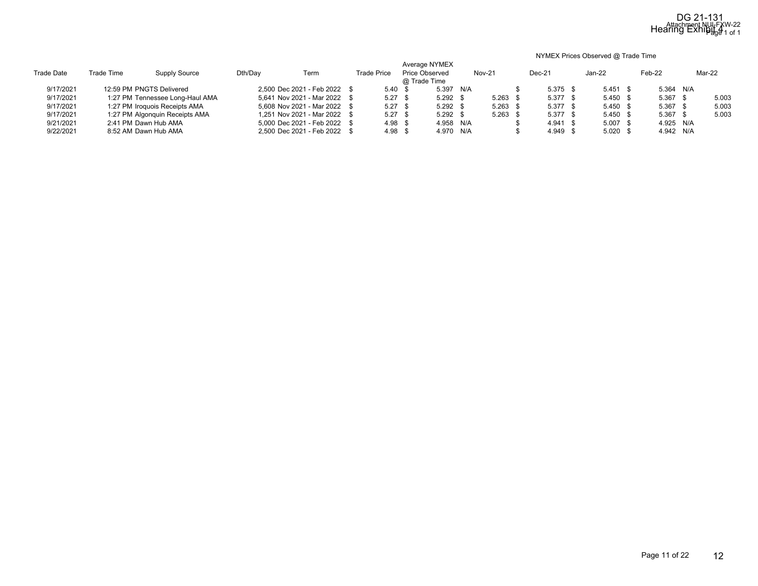#### NYMEX Prices Observed @ Trade Time

| <b>Trade Date</b> | Trade Time | Supply Source                   | Dth/Day | Term                         | <b>Trade Price</b> | Average NYMEX<br><b>Price Observed</b><br>@ Trade Time |     | <b>Nov-21</b> | Dec-21     | Jan-22     | Feb-22     | Mar-22 |
|-------------------|------------|---------------------------------|---------|------------------------------|--------------------|--------------------------------------------------------|-----|---------------|------------|------------|------------|--------|
| 9/17/2021         |            | 12:59 PM PNGTS Delivered        |         | 2.500 Dec 2021 - Feb 2022 \$ | 5.40 <sup>5</sup>  | 5.397                                                  | N/A |               | $5.375$ \$ | $5.451$ \$ | 5.364 N/A  |        |
| 9/17/2021         |            | 1:27 PM Tennessee Long-Haul AMA |         | 5.641 Nov 2021 - Mar 2022 \$ | $5.27$ \$          | $5.292$ \$                                             |     | $5.263$ \$    | $5.377$ \$ | $5.450$ \$ | $5.367$ \$ | 5.003  |
| 9/17/2021         |            | 1:27 PM Iroquois Receipts AMA   |         | 5.608 Nov 2021 - Mar 2022 \$ | $5.27$ \$          | $5.292$ \$                                             |     | $5.263$ \$    | $5.377$ \$ | $5.450$ \$ | $5.367$ \$ | 5.003  |
| 9/17/2021         |            | 1:27 PM Algonquin Receipts AMA  |         | 1,251 Nov 2021 - Mar 2022 \$ | $5.27$ \$          | $5.292$ \$                                             |     | $5.263$ \$    | $5.377$ \$ | $5.450$ \$ | $5.367$ \$ | 5.003  |
| 9/21/2021         |            | 2:41 PM Dawn Hub AMA            |         | 5.000 Dec 2021 - Feb 2022 \$ | 4.98 <sup>5</sup>  | 4.958 N/A                                              |     |               | $4.941$ \$ | $5.007$ \$ | 4.925 N/A  |        |
| 9/22/2021         |            | 8:52 AM Dawn Hub AMA            |         | 2.500 Dec 2021 - Feb 2022 \$ | 4.98 <sup>5</sup>  | 4.970 N/A                                              |     |               | 4.949 \$   | $5.020$ \$ | 4.942 N/A  |        |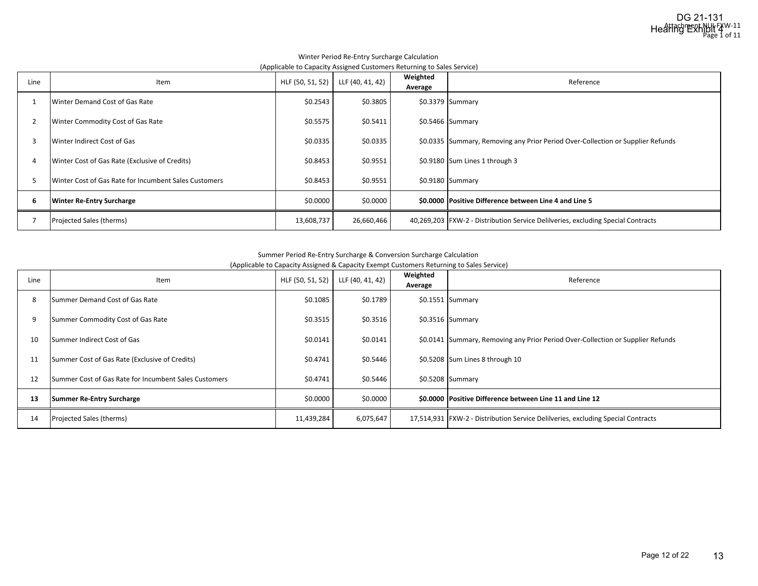|      | .                                                     |                  |                  |                     |                                                                                    |
|------|-------------------------------------------------------|------------------|------------------|---------------------|------------------------------------------------------------------------------------|
| Line | Item                                                  | HLF (50, 51, 52) | LLF (40, 41, 42) | Weighted<br>Average | Reference                                                                          |
|      | Winter Demand Cost of Gas Rate                        | \$0.2543         | \$0.3805         |                     | $$0.3379$ Summary                                                                  |
|      | Winter Commodity Cost of Gas Rate                     | \$0.5575         | \$0.5411         |                     | \$0.5466 Summary                                                                   |
| 3    | Winter Indirect Cost of Gas                           | \$0.0335         | \$0.0335         |                     | \$0.0335 Summary, Removing any Prior Period Over-Collection or Supplier Refunds    |
| 4    | Winter Cost of Gas Rate (Exclusive of Credits)        | \$0.8453         | \$0.9551         |                     | \$0.9180 Sum Lines 1 through 3                                                     |
|      | Winter Cost of Gas Rate for Incumbent Sales Customers | \$0.8453         | \$0.9551         |                     | $$0.9180$ Summary                                                                  |
| 6    | <b>Winter Re-Entry Surcharge</b>                      | \$0.0000         | \$0.0000         |                     | \$0.0000 Positive Difference between Line 4 and Line 5                             |
|      | Projected Sales (therms)                              | 13,608,737       | 26,660,466       |                     | 40,269,203   FXW-2 - Distribution Service Delilveries, excluding Special Contracts |

#### Winter Period Re‐Entry Surcharge Calculation (Applicable to Capacity Assigned Customers Returning to Sales Service)

#### Summer Period Re‐Entry Surcharge & Conversion Surcharge Calculation

(Applicable to Capacity Assigned & Capacity Exempt Customers Returning to Sales Service)

| Line | Item                                                  | HLF (50, 51, 52) | LLF (40, 41, 42) | Weighted<br>Average | Reference                                                                        |
|------|-------------------------------------------------------|------------------|------------------|---------------------|----------------------------------------------------------------------------------|
| 8    | Summer Demand Cost of Gas Rate                        | \$0.1085         | \$0.1789         |                     | $$0.1551$ Summary                                                                |
| g    | Summer Commodity Cost of Gas Rate                     | \$0.3515         | \$0.3516         |                     | $$0.3516$ Summary                                                                |
| 10   | Summer Indirect Cost of Gas                           | \$0.0141         | \$0.0141         |                     | \$0.0141 Summary, Removing any Prior Period Over-Collection or Supplier Refunds  |
| 11   | Summer Cost of Gas Rate (Exclusive of Credits)        | \$0.4741         | \$0.5446         |                     | \$0.5208 Sum Lines 8 through 10                                                  |
| 12   | Summer Cost of Gas Rate for Incumbent Sales Customers | \$0.4741         | \$0.5446         |                     | $$0.5208$ Summary                                                                |
| 13   | Summer Re-Entry Surcharge                             | \$0.0000         | \$0.0000         |                     | \$0.0000 Positive Difference between Line 11 and Line 12                         |
| 14   | Projected Sales (therms)                              | 11,439,284       | 6,075,647        |                     | 17,514,931 FXW-2 - Distribution Service Delilveries, excluding Special Contracts |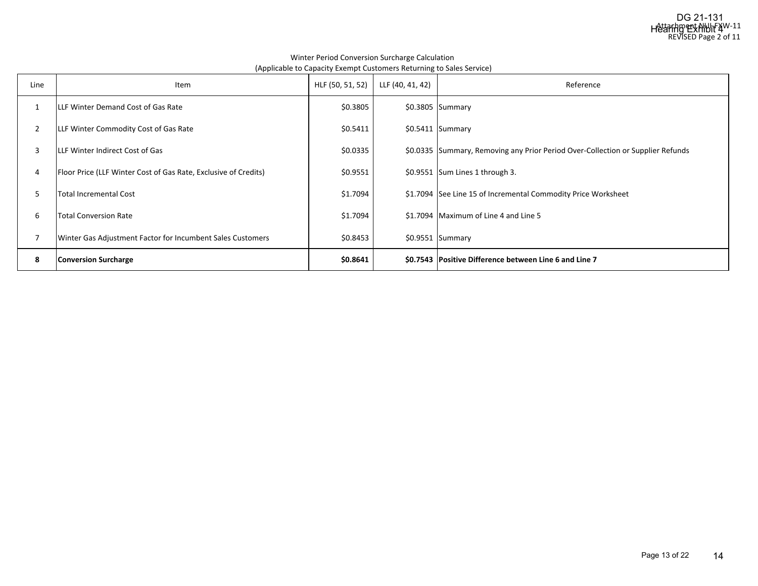#### Winter Period Conversion Surcharge Calculation (Applicable to Capacity Exempt Customers Returning to Sales Service)

| Line           | Item                                                            | HLF (50, 51, 52) | LLF (40, 41, 42) | Reference                                                                       |
|----------------|-----------------------------------------------------------------|------------------|------------------|---------------------------------------------------------------------------------|
|                | LLF Winter Demand Cost of Gas Rate                              | \$0.3805         |                  | $$0.3805$ Summary                                                               |
| $\overline{2}$ | LLF Winter Commodity Cost of Gas Rate                           | \$0.5411         |                  | $$0.5411$ Summary                                                               |
| 3              | LLF Winter Indirect Cost of Gas                                 | \$0.0335         |                  | \$0.0335 Summary, Removing any Prior Period Over-Collection or Supplier Refunds |
| 4              | Floor Price (LLF Winter Cost of Gas Rate, Exclusive of Credits) | \$0.9551         |                  | \$0.9551 Sum Lines 1 through 3.                                                 |
| 5              | Total Incremental Cost                                          | \$1.7094         |                  | \$1.7094 See Line 15 of Incremental Commodity Price Worksheet                   |
| 6              | <b>Total Conversion Rate</b>                                    | \$1.7094         |                  | \$1.7094 Maximum of Line 4 and Line 5                                           |
|                | Winter Gas Adjustment Factor for Incumbent Sales Customers      | \$0.8453         |                  | $$0.9551$ Summary                                                               |
| 8              | <b>Conversion Surcharge</b>                                     | \$0.8641         |                  | \$0.7543 Positive Difference between Line 6 and Line 7                          |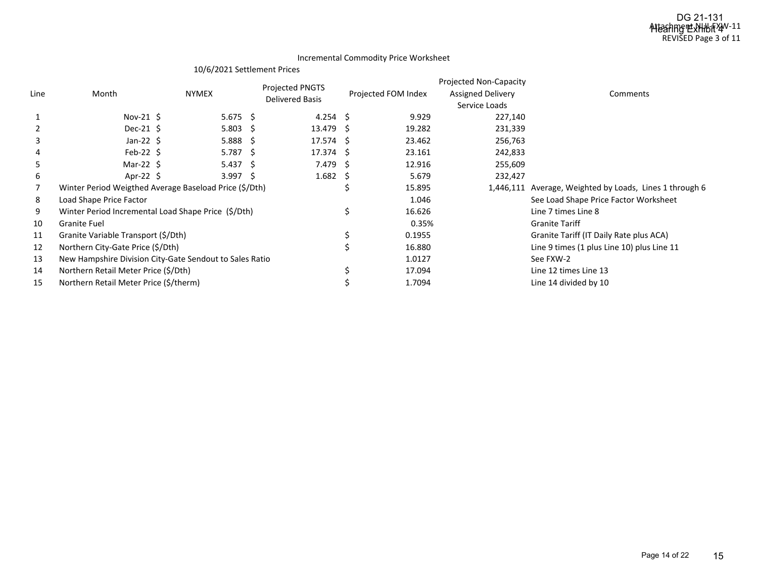#### Incremental Commodity Price Worksheet

### 10/6/2021 Settlement Prices

|      |                                                         |                    | Projected PNGTS        |                     | <b>Projected Non-Capacity</b> |                                                         |
|------|---------------------------------------------------------|--------------------|------------------------|---------------------|-------------------------------|---------------------------------------------------------|
| Line | Month                                                   | <b>NYMEX</b>       | <b>Delivered Basis</b> | Projected FOM Index | <b>Assigned Delivery</b>      | Comments                                                |
|      |                                                         |                    |                        |                     | Service Loads                 |                                                         |
|      | Nov-21 $\zeta$                                          | $5.675$ \$         | 4.254 \$               | 9.929               | 227,140                       |                                                         |
|      | Dec-21 $\frac{1}{2}$                                    | $5.803 \quad $$    | 13.479 \$              | 19.282              | 231,339                       |                                                         |
| 3    | Jan-22 $\zeta$                                          | $5.888$ \$         | $17.574 \pm 5$         | 23.462              | 256,763                       |                                                         |
|      | Feb-22 $\zeta$                                          | $5.787 \pm 5$      | $17.374 \pm 5$         | 23.161              | 242,833                       |                                                         |
| 5    | Mar-22 $\angle$                                         | $5.437 \quad$ \$   | 7.479 \$               | 12.916              | 255,609                       |                                                         |
| 6    | Apr-22 $\frac{1}{2}$                                    | 3.997 <sub>5</sub> | $1.682 \quad$ \$       | 5.679               | 232,427                       |                                                         |
|      | Winter Period Weigthed Average Baseload Price (\$/Dth)  |                    |                        | 15.895              |                               | 1,446,111 Average, Weighted by Loads, Lines 1 through 6 |
| 8    | Load Shape Price Factor                                 |                    |                        | 1.046               |                               | See Load Shape Price Factor Worksheet                   |
| 9    | Winter Period Incremental Load Shape Price (\$/Dth)     |                    |                        | 16.626              |                               | Line 7 times Line 8                                     |
| 10   | <b>Granite Fuel</b>                                     |                    |                        | 0.35%               |                               | <b>Granite Tariff</b>                                   |
| 11   | Granite Variable Transport (\$/Dth)                     |                    |                        | 0.1955              |                               | Granite Tariff (IT Daily Rate plus ACA)                 |
| 12   | Northern City-Gate Price (\$/Dth)                       |                    |                        | 16.880              |                               | Line 9 times (1 plus Line 10) plus Line 11              |
| 13   | New Hampshire Division City-Gate Sendout to Sales Ratio |                    |                        | 1.0127              |                               | See FXW-2                                               |
| 14   | Northern Retail Meter Price (\$/Dth)                    |                    |                        | 17.094              |                               | Line 12 times Line 13                                   |
| 15   | Northern Retail Meter Price (\$/therm)                  |                    |                        | 1.7094              |                               | Line 14 divided by 10                                   |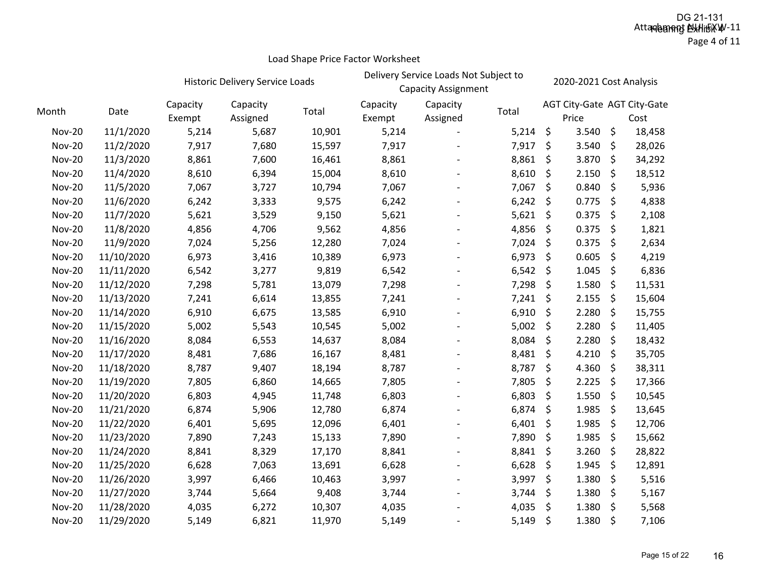### Page 4 of 11

|               |            |                    | Historic Delivery Service Loads |        | Delivery Service Loads Not Subject to<br><b>Capacity Assignment</b> |                          |       |         | 2020-2021 Cost Analysis |         |                                     |  |  |
|---------------|------------|--------------------|---------------------------------|--------|---------------------------------------------------------------------|--------------------------|-------|---------|-------------------------|---------|-------------------------------------|--|--|
| Month         | Date       | Capacity<br>Exempt | Capacity<br>Assigned            | Total  | Capacity<br>Exempt                                                  | Capacity<br>Assigned     | Total |         | Price                   |         | AGT City-Gate AGT City-Gate<br>Cost |  |  |
| <b>Nov-20</b> | 11/1/2020  | 5,214              | 5,687                           | 10,901 | 5,214                                                               |                          | 5,214 | \$      | 3.540                   | $\zeta$ | 18,458                              |  |  |
| <b>Nov-20</b> | 11/2/2020  | 7,917              | 7,680                           | 15,597 | 7,917                                                               |                          | 7,917 | \$      | 3.540                   | $\zeta$ | 28,026                              |  |  |
| <b>Nov-20</b> | 11/3/2020  | 8,861              | 7,600                           | 16,461 | 8,861                                                               |                          | 8,861 | \$      | 3.870                   | $\zeta$ | 34,292                              |  |  |
| <b>Nov-20</b> | 11/4/2020  | 8,610              | 6,394                           | 15,004 | 8,610                                                               |                          | 8,610 | \$      | 2.150                   | $\zeta$ | 18,512                              |  |  |
| <b>Nov-20</b> | 11/5/2020  | 7,067              | 3,727                           | 10,794 | 7,067                                                               |                          | 7,067 | \$      | 0.840                   | $\zeta$ | 5,936                               |  |  |
| <b>Nov-20</b> | 11/6/2020  | 6,242              | 3,333                           | 9,575  | 6,242                                                               |                          | 6,242 | \$      | 0.775                   | $\zeta$ | 4,838                               |  |  |
| <b>Nov-20</b> | 11/7/2020  | 5,621              | 3,529                           | 9,150  | 5,621                                                               | $\overline{a}$           | 5,621 | \$      | 0.375                   | \$      | 2,108                               |  |  |
| <b>Nov-20</b> | 11/8/2020  | 4,856              | 4,706                           | 9,562  | 4,856                                                               |                          | 4,856 | \$      | 0.375                   | \$      | 1,821                               |  |  |
| <b>Nov-20</b> | 11/9/2020  | 7,024              | 5,256                           | 12,280 | 7,024                                                               |                          | 7,024 | \$      | 0.375                   | \$      | 2,634                               |  |  |
| <b>Nov-20</b> | 11/10/2020 | 6,973              | 3,416                           | 10,389 | 6,973                                                               |                          | 6,973 | \$      | 0.605                   | \$      | 4,219                               |  |  |
| <b>Nov-20</b> | 11/11/2020 | 6,542              | 3,277                           | 9,819  | 6,542                                                               |                          | 6,542 | \$      | 1.045                   | \$      | 6,836                               |  |  |
| <b>Nov-20</b> | 11/12/2020 | 7,298              | 5,781                           | 13,079 | 7,298                                                               | $\overline{\phantom{a}}$ | 7,298 | \$      | 1.580                   | \$      | 11,531                              |  |  |
| <b>Nov-20</b> | 11/13/2020 | 7,241              | 6,614                           | 13,855 | 7,241                                                               |                          | 7,241 | \$      | 2.155                   | \$      | 15,604                              |  |  |
| <b>Nov-20</b> | 11/14/2020 | 6,910              | 6,675                           | 13,585 | 6,910                                                               | $\overline{\phantom{m}}$ | 6,910 | \$      | 2.280                   | \$      | 15,755                              |  |  |
| <b>Nov-20</b> | 11/15/2020 | 5,002              | 5,543                           | 10,545 | 5,002                                                               |                          | 5,002 | \$      | 2.280                   | \$      | 11,405                              |  |  |
| <b>Nov-20</b> | 11/16/2020 | 8,084              | 6,553                           | 14,637 | 8,084                                                               |                          | 8,084 | \$      | 2.280                   | $\zeta$ | 18,432                              |  |  |
| <b>Nov-20</b> | 11/17/2020 | 8,481              | 7,686                           | 16,167 | 8,481                                                               |                          | 8,481 | \$      | 4.210                   | \$      | 35,705                              |  |  |
| <b>Nov-20</b> | 11/18/2020 | 8,787              | 9,407                           | 18,194 | 8,787                                                               |                          | 8,787 | \$      | 4.360                   | $\zeta$ | 38,311                              |  |  |
| <b>Nov-20</b> | 11/19/2020 | 7,805              | 6,860                           | 14,665 | 7,805                                                               |                          | 7,805 | \$      | 2.225                   | $\zeta$ | 17,366                              |  |  |
| <b>Nov-20</b> | 11/20/2020 | 6,803              | 4,945                           | 11,748 | 6,803                                                               |                          | 6,803 | \$      | 1.550                   | $\zeta$ | 10,545                              |  |  |
| <b>Nov-20</b> | 11/21/2020 | 6,874              | 5,906                           | 12,780 | 6,874                                                               |                          | 6,874 | \$      | 1.985                   | $\zeta$ | 13,645                              |  |  |
| <b>Nov-20</b> | 11/22/2020 | 6,401              | 5,695                           | 12,096 | 6,401                                                               | $\overline{\phantom{a}}$ | 6,401 | \$      | 1.985                   | $\zeta$ | 12,706                              |  |  |
| <b>Nov-20</b> | 11/23/2020 | 7,890              | 7,243                           | 15,133 | 7,890                                                               |                          | 7,890 | \$      | 1.985                   | $\zeta$ | 15,662                              |  |  |
| <b>Nov-20</b> | 11/24/2020 | 8,841              | 8,329                           | 17,170 | 8,841                                                               |                          | 8,841 | \$      | 3.260                   | \$      | 28,822                              |  |  |
| <b>Nov-20</b> | 11/25/2020 | 6,628              | 7,063                           | 13,691 | 6,628                                                               |                          | 6,628 | \$      | 1.945                   | \$      | 12,891                              |  |  |
| <b>Nov-20</b> | 11/26/2020 | 3,997              | 6,466                           | 10,463 | 3,997                                                               |                          | 3,997 | \$      | 1.380                   | $\zeta$ | 5,516                               |  |  |
| <b>Nov-20</b> | 11/27/2020 | 3,744              | 5,664                           | 9,408  | 3,744                                                               |                          | 3,744 | \$      | 1.380                   | \$      | 5,167                               |  |  |
| <b>Nov-20</b> | 11/28/2020 | 4,035              | 6,272                           | 10,307 | 4,035                                                               |                          | 4,035 | \$      | 1.380                   | \$      | 5,568                               |  |  |
| <b>Nov-20</b> | 11/29/2020 | 5,149              | 6,821                           | 11,970 | 5,149                                                               |                          | 5,149 | $\zeta$ | 1.380                   | $\zeta$ | 7,106                               |  |  |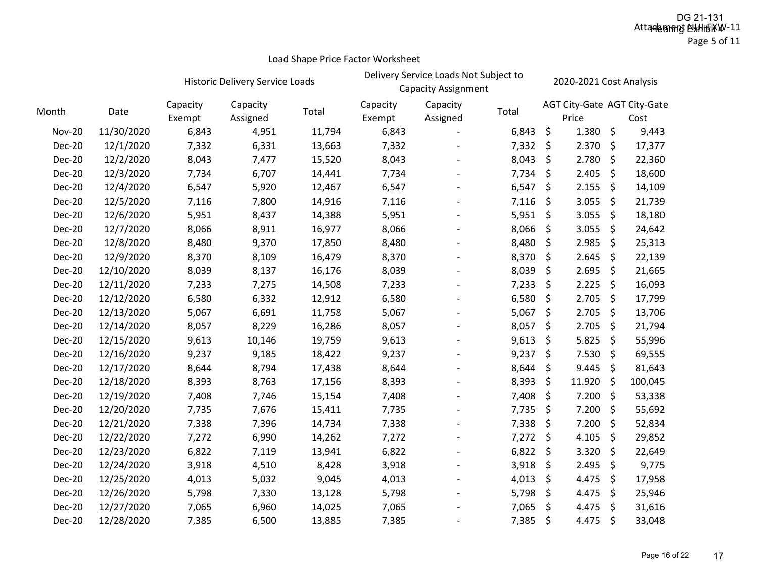# **Historic Delivery Service Loads** Delivery Service Loads Not Subject to 2020-2021 Cost Analysis<br>Capacity Assignment 2020-2021

| 2020-2021 Cost Analysi |
|------------------------|
|                        |

| Month         | Date       | Capacity<br>Exempt | Capacity<br>Assigned | Total  | Capacity<br>Exempt | Capacity<br>Assigned | Total |    | AGT City-Gate AGT City-Gate<br>Price | Cost          |
|---------------|------------|--------------------|----------------------|--------|--------------------|----------------------|-------|----|--------------------------------------|---------------|
| <b>Nov-20</b> | 11/30/2020 | 6,843              | 4,951                | 11,794 | 6,843              |                      | 6,843 | \$ | 1.380                                | \$<br>9,443   |
| <b>Dec-20</b> | 12/1/2020  | 7,332              | 6,331                | 13,663 | 7,332              |                      | 7,332 | \$ | 2.370                                | \$<br>17,377  |
| <b>Dec-20</b> | 12/2/2020  | 8,043              | 7,477                | 15,520 | 8,043              |                      | 8,043 | \$ | 2.780                                | \$<br>22,360  |
| <b>Dec-20</b> | 12/3/2020  | 7,734              | 6,707                | 14,441 | 7,734              |                      | 7,734 | \$ | 2.405                                | \$<br>18,600  |
| <b>Dec-20</b> | 12/4/2020  | 6,547              | 5,920                | 12,467 | 6,547              |                      | 6,547 | \$ | 2.155                                | \$<br>14,109  |
| <b>Dec-20</b> | 12/5/2020  | 7,116              | 7,800                | 14,916 | 7,116              |                      | 7,116 | \$ | 3.055                                | \$<br>21,739  |
| <b>Dec-20</b> | 12/6/2020  | 5,951              | 8,437                | 14,388 | 5,951              |                      | 5,951 | \$ | 3.055                                | \$<br>18,180  |
| Dec-20        | 12/7/2020  | 8,066              | 8,911                | 16,977 | 8,066              |                      | 8,066 | \$ | 3.055                                | \$<br>24,642  |
| <b>Dec-20</b> | 12/8/2020  | 8,480              | 9,370                | 17,850 | 8,480              |                      | 8,480 | Ŝ. | 2.985                                | \$<br>25,313  |
| <b>Dec-20</b> | 12/9/2020  | 8,370              | 8,109                | 16,479 | 8,370              |                      | 8,370 | \$ | 2.645                                | \$<br>22,139  |
| <b>Dec-20</b> | 12/10/2020 | 8,039              | 8,137                | 16,176 | 8,039              |                      | 8,039 | \$ | 2.695                                | \$<br>21,665  |
| <b>Dec-20</b> | 12/11/2020 | 7,233              | 7,275                | 14,508 | 7,233              |                      | 7,233 | \$ | 2.225                                | \$<br>16,093  |
| <b>Dec-20</b> | 12/12/2020 | 6,580              | 6,332                | 12,912 | 6,580              |                      | 6,580 | \$ | 2.705                                | \$<br>17,799  |
| <b>Dec-20</b> | 12/13/2020 | 5,067              | 6,691                | 11,758 | 5,067              |                      | 5,067 | \$ | 2.705                                | \$<br>13,706  |
| <b>Dec-20</b> | 12/14/2020 | 8,057              | 8,229                | 16,286 | 8,057              |                      | 8,057 | \$ | 2.705                                | \$<br>21,794  |
| <b>Dec-20</b> | 12/15/2020 | 9,613              | 10,146               | 19,759 | 9,613              |                      | 9,613 | \$ | 5.825                                | \$<br>55,996  |
| <b>Dec-20</b> | 12/16/2020 | 9,237              | 9,185                | 18,422 | 9,237              |                      | 9,237 | \$ | 7.530                                | \$<br>69,555  |
| <b>Dec-20</b> | 12/17/2020 | 8,644              | 8,794                | 17,438 | 8,644              |                      | 8,644 | \$ | 9.445                                | \$<br>81,643  |
| <b>Dec-20</b> | 12/18/2020 | 8,393              | 8,763                | 17,156 | 8,393              |                      | 8,393 | \$ | 11.920                               | \$<br>100,045 |
| <b>Dec-20</b> | 12/19/2020 | 7,408              | 7,746                | 15,154 | 7,408              |                      | 7,408 | \$ | 7.200                                | \$<br>53,338  |
| <b>Dec-20</b> | 12/20/2020 | 7,735              | 7,676                | 15,411 | 7,735              |                      | 7,735 | \$ | 7.200                                | \$<br>55,692  |
| <b>Dec-20</b> | 12/21/2020 | 7,338              | 7,396                | 14,734 | 7,338              |                      | 7,338 | \$ | 7.200                                | \$<br>52,834  |
| Dec-20        | 12/22/2020 | 7,272              | 6,990                | 14,262 | 7,272              |                      | 7,272 | \$ | 4.105                                | \$<br>29,852  |
| <b>Dec-20</b> | 12/23/2020 | 6,822              | 7,119                | 13,941 | 6,822              |                      | 6,822 | \$ | 3.320                                | \$<br>22,649  |
| <b>Dec-20</b> | 12/24/2020 | 3,918              | 4,510                | 8,428  | 3,918              |                      | 3,918 | \$ | 2.495                                | \$<br>9,775   |
| <b>Dec-20</b> | 12/25/2020 | 4,013              | 5,032                | 9,045  | 4,013              |                      | 4,013 | \$ | 4.475                                | \$<br>17,958  |
| <b>Dec-20</b> | 12/26/2020 | 5,798              | 7,330                | 13,128 | 5,798              |                      | 5,798 | \$ | 4.475                                | \$<br>25,946  |
| <b>Dec-20</b> | 12/27/2020 | 7,065              | 6,960                | 14,025 | 7,065              |                      | 7,065 | \$ | 4.475                                | \$<br>31,616  |
| <b>Dec-20</b> | 12/28/2020 | 7,385              | 6,500                | 13,885 | 7,385              |                      | 7,385 | \$ | 4.475                                | \$<br>33,048  |
|               |            |                    |                      |        |                    |                      |       |    |                                      |               |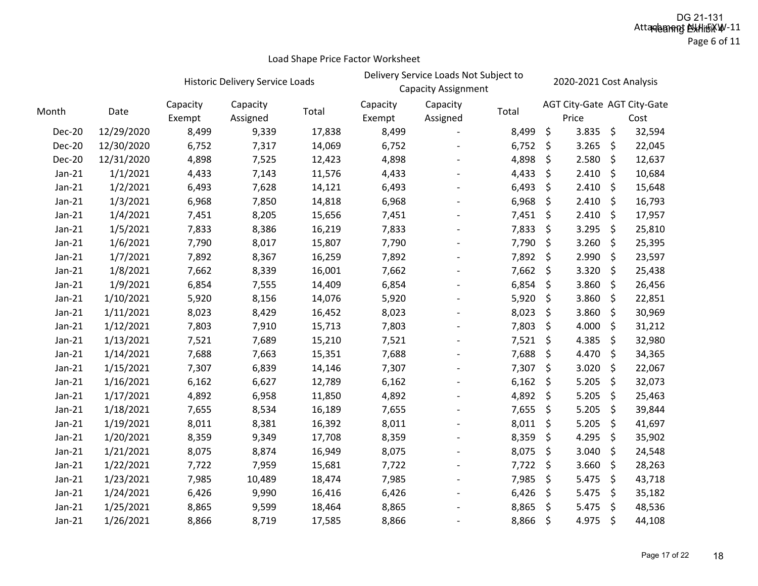|               |            |                    | Historic Delivery Service Loads |        | Delivery Service Loads Not Subject to<br><b>Capacity Assignment</b> |                      |       | 2020-2021 Cost Analysis |       |    |                                     |
|---------------|------------|--------------------|---------------------------------|--------|---------------------------------------------------------------------|----------------------|-------|-------------------------|-------|----|-------------------------------------|
| Month         | Date       | Capacity<br>Exempt | Capacity<br>Assigned            | Total  | Capacity<br>Exempt                                                  | Capacity<br>Assigned | Total |                         | Price |    | AGT City-Gate AGT City-Gate<br>Cost |
| <b>Dec-20</b> | 12/29/2020 | 8,499              | 9,339                           | 17,838 | 8,499                                                               |                      | 8,499 | \$                      | 3.835 | \$ | 32,594                              |
| <b>Dec-20</b> | 12/30/2020 | 6,752              | 7,317                           | 14,069 | 6,752                                                               |                      | 6,752 | \$                      | 3.265 | \$ | 22,045                              |
| <b>Dec-20</b> | 12/31/2020 | 4,898              | 7,525                           | 12,423 | 4,898                                                               |                      | 4,898 | \$                      | 2.580 | \$ | 12,637                              |
| $Jan-21$      | 1/1/2021   | 4,433              | 7,143                           | 11,576 | 4,433                                                               |                      | 4,433 | \$                      | 2.410 | \$ | 10,684                              |
| $Jan-21$      | 1/2/2021   | 6,493              | 7,628                           | 14,121 | 6,493                                                               |                      | 6,493 | \$                      | 2.410 | \$ | 15,648                              |
| $Jan-21$      | 1/3/2021   | 6,968              | 7,850                           | 14,818 | 6,968                                                               |                      | 6,968 | \$                      | 2.410 | \$ | 16,793                              |
| $Jan-21$      | 1/4/2021   | 7,451              | 8,205                           | 15,656 | 7,451                                                               |                      | 7,451 | \$                      | 2.410 | \$ | 17,957                              |
| $Jan-21$      | 1/5/2021   | 7,833              | 8,386                           | 16,219 | 7,833                                                               |                      | 7,833 | \$                      | 3.295 | \$ | 25,810                              |
| $Jan-21$      | 1/6/2021   | 7,790              | 8,017                           | 15,807 | 7,790                                                               |                      | 7,790 | \$                      | 3.260 | \$ | 25,395                              |
| $Jan-21$      | 1/7/2021   | 7,892              | 8,367                           | 16,259 | 7,892                                                               |                      | 7,892 | \$                      | 2.990 | \$ | 23,597                              |
| $Jan-21$      | 1/8/2021   | 7,662              | 8,339                           | 16,001 | 7,662                                                               |                      | 7,662 | \$                      | 3.320 | \$ | 25,438                              |
| $Jan-21$      | 1/9/2021   | 6,854              | 7,555                           | 14,409 | 6,854                                                               |                      | 6,854 | \$                      | 3.860 | \$ | 26,456                              |
| $Jan-21$      | 1/10/2021  | 5,920              | 8,156                           | 14,076 | 5,920                                                               |                      | 5,920 | \$                      | 3.860 | \$ | 22,851                              |
| $Jan-21$      | 1/11/2021  | 8,023              | 8,429                           | 16,452 | 8,023                                                               |                      | 8,023 | \$                      | 3.860 | \$ | 30,969                              |
| $Jan-21$      | 1/12/2021  | 7,803              | 7,910                           | 15,713 | 7,803                                                               |                      | 7,803 | \$                      | 4.000 | \$ | 31,212                              |
| $Jan-21$      | 1/13/2021  | 7,521              | 7,689                           | 15,210 | 7,521                                                               |                      | 7,521 | \$                      | 4.385 | \$ | 32,980                              |
| $Jan-21$      | 1/14/2021  | 7,688              | 7,663                           | 15,351 | 7,688                                                               |                      | 7,688 | \$                      | 4.470 | \$ | 34,365                              |
| $Jan-21$      | 1/15/2021  | 7,307              | 6,839                           | 14,146 | 7,307                                                               |                      | 7,307 | \$                      | 3.020 | \$ | 22,067                              |
| $Jan-21$      | 1/16/2021  | 6,162              | 6,627                           | 12,789 | 6,162                                                               |                      | 6,162 | \$                      | 5.205 | \$ | 32,073                              |
| $Jan-21$      | 1/17/2021  | 4,892              | 6,958                           | 11,850 | 4,892                                                               |                      | 4,892 | \$                      | 5.205 | \$ | 25,463                              |
| $Jan-21$      | 1/18/2021  | 7,655              | 8,534                           | 16,189 | 7,655                                                               |                      | 7,655 | \$                      | 5.205 | \$ | 39,844                              |
| $Jan-21$      | 1/19/2021  | 8,011              | 8,381                           | 16,392 | 8,011                                                               |                      | 8,011 | \$                      | 5.205 | \$ | 41,697                              |
| $Jan-21$      | 1/20/2021  | 8,359              | 9,349                           | 17,708 | 8,359                                                               |                      | 8,359 | \$                      | 4.295 | \$ | 35,902                              |
| $Jan-21$      | 1/21/2021  | 8,075              | 8,874                           | 16,949 | 8,075                                                               |                      | 8,075 | \$                      | 3.040 | \$ | 24,548                              |
| $Jan-21$      | 1/22/2021  | 7,722              | 7,959                           | 15,681 | 7,722                                                               |                      | 7,722 | \$                      | 3.660 | \$ | 28,263                              |
| $Jan-21$      | 1/23/2021  | 7,985              | 10,489                          | 18,474 | 7,985                                                               |                      | 7,985 | \$                      | 5.475 | \$ | 43,718                              |
| $Jan-21$      | 1/24/2021  | 6,426              | 9,990                           | 16,416 | 6,426                                                               |                      | 6,426 | \$                      | 5.475 | \$ | 35,182                              |
| $Jan-21$      | 1/25/2021  | 8,865              | 9,599                           | 18,464 | 8,865                                                               |                      | 8,865 | \$                      | 5.475 | \$ | 48,536                              |
| $Jan-21$      | 1/26/2021  | 8,866              | 8,719                           | 17,585 | 8,866                                                               |                      | 8,866 | \$                      | 4.975 | \$ | 44,108                              |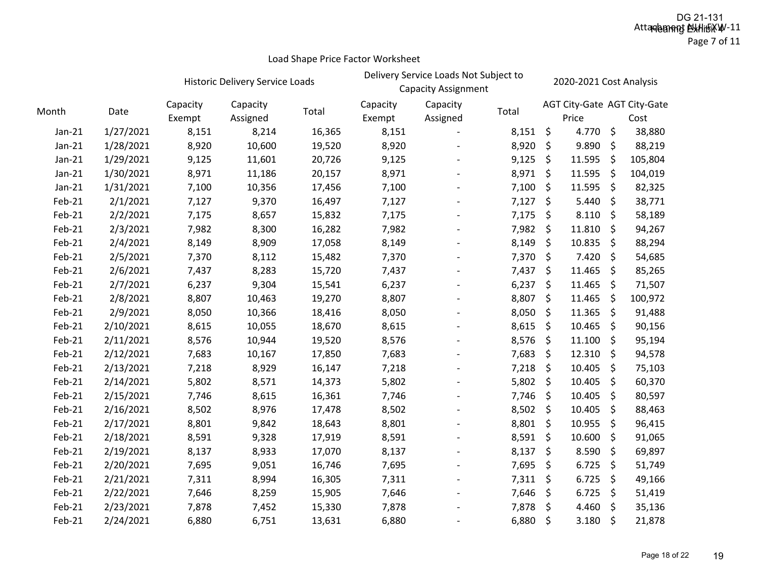Page 7 of 11

|          |           |                    | Historic Delivery Service Loads |        | Delivery Service Loads Not Subject to<br><b>Capacity Assignment</b> |                      |            |         | 2020-2021 Cost Analysis              |         |         |  |
|----------|-----------|--------------------|---------------------------------|--------|---------------------------------------------------------------------|----------------------|------------|---------|--------------------------------------|---------|---------|--|
| Month    | Date      | Capacity<br>Exempt | Capacity<br>Assigned            | Total  | Capacity<br>Exempt                                                  | Capacity<br>Assigned | Total      |         | AGT City-Gate AGT City-Gate<br>Price |         | Cost    |  |
| $Jan-21$ | 1/27/2021 | 8,151              | 8,214                           | 16,365 | 8,151                                                               |                      | $8,151$ \$ |         | 4.770                                | \$      | 38,880  |  |
| $Jan-21$ | 1/28/2021 | 8,920              | 10,600                          | 19,520 | 8,920                                                               |                      | 8,920      | \$      | 9.890                                | \$      | 88,219  |  |
| $Jan-21$ | 1/29/2021 | 9,125              | 11,601                          | 20,726 | 9,125                                                               |                      | 9,125      | \$      | 11.595                               | \$      | 105,804 |  |
| $Jan-21$ | 1/30/2021 | 8,971              | 11,186                          | 20,157 | 8,971                                                               |                      | 8,971      | \$      | 11.595                               | $\zeta$ | 104,019 |  |
| $Jan-21$ | 1/31/2021 | 7,100              | 10,356                          | 17,456 | 7,100                                                               |                      | 7,100      | \$      | 11.595                               | \$      | 82,325  |  |
| Feb-21   | 2/1/2021  | 7,127              | 9,370                           | 16,497 | 7,127                                                               |                      | 7,127      | \$      | 5.440                                | \$      | 38,771  |  |
| Feb-21   | 2/2/2021  | 7,175              | 8,657                           | 15,832 | 7,175                                                               |                      | 7,175      | $\zeta$ | 8.110                                | \$      | 58,189  |  |
| Feb-21   | 2/3/2021  | 7,982              | 8,300                           | 16,282 | 7,982                                                               |                      | 7,982      | $\zeta$ | 11.810                               | \$      | 94,267  |  |
| Feb-21   | 2/4/2021  | 8,149              | 8,909                           | 17,058 | 8,149                                                               |                      | 8,149      | \$      | 10.835                               | \$      | 88,294  |  |
| Feb-21   | 2/5/2021  | 7,370              | 8,112                           | 15,482 | 7,370                                                               |                      | 7,370      | \$      | 7.420                                | \$      | 54,685  |  |
| Feb-21   | 2/6/2021  | 7,437              | 8,283                           | 15,720 | 7,437                                                               |                      | 7,437      | \$      | 11.465                               | \$      | 85,265  |  |
| Feb-21   | 2/7/2021  | 6,237              | 9,304                           | 15,541 | 6,237                                                               |                      | 6,237      | \$      | 11.465                               | \$      | 71,507  |  |
| Feb-21   | 2/8/2021  | 8,807              | 10,463                          | 19,270 | 8,807                                                               |                      | 8,807      | \$      | 11.465                               | \$      | 100,972 |  |
| Feb-21   | 2/9/2021  | 8,050              | 10,366                          | 18,416 | 8,050                                                               |                      | 8,050      | \$      | 11.365                               | \$      | 91,488  |  |
| Feb-21   | 2/10/2021 | 8,615              | 10,055                          | 18,670 | 8,615                                                               |                      | 8,615      | \$      | 10.465                               | \$      | 90,156  |  |
| Feb-21   | 2/11/2021 | 8,576              | 10,944                          | 19,520 | 8,576                                                               |                      | 8,576      | \$      | 11.100                               | \$      | 95,194  |  |
| Feb-21   | 2/12/2021 | 7,683              | 10,167                          | 17,850 | 7,683                                                               |                      | 7,683      | \$      | 12.310                               | \$      | 94,578  |  |
| Feb-21   | 2/13/2021 | 7,218              | 8,929                           | 16,147 | 7,218                                                               |                      | 7,218      | \$      | 10.405                               | \$      | 75,103  |  |
| Feb-21   | 2/14/2021 | 5,802              | 8,571                           | 14,373 | 5,802                                                               |                      | 5,802      | \$      | 10.405                               | \$      | 60,370  |  |
| Feb-21   | 2/15/2021 | 7,746              | 8,615                           | 16,361 | 7,746                                                               |                      | 7,746      | \$      | 10.405                               | \$      | 80,597  |  |
| Feb-21   | 2/16/2021 | 8,502              | 8,976                           | 17,478 | 8,502                                                               |                      | 8,502      | \$      | 10.405                               | \$      | 88,463  |  |
| Feb-21   | 2/17/2021 | 8,801              | 9,842                           | 18,643 | 8,801                                                               |                      | 8,801      | $\zeta$ | 10.955                               | \$      | 96,415  |  |
| Feb-21   | 2/18/2021 | 8,591              | 9,328                           | 17,919 | 8,591                                                               |                      | 8,591      | \$      | 10.600                               | \$      | 91,065  |  |
| Feb-21   | 2/19/2021 | 8,137              | 8,933                           | 17,070 | 8,137                                                               |                      | 8,137      | \$      | 8.590                                | \$      | 69,897  |  |
| Feb-21   | 2/20/2021 | 7,695              | 9,051                           | 16,746 | 7,695                                                               |                      | 7,695      | \$      | 6.725                                | \$      | 51,749  |  |
| Feb-21   | 2/21/2021 | 7,311              | 8,994                           | 16,305 | 7,311                                                               |                      | 7,311      | $\zeta$ | 6.725                                | \$      | 49,166  |  |
| Feb-21   | 2/22/2021 | 7,646              | 8,259                           | 15,905 | 7,646                                                               |                      | 7,646      | \$      | 6.725                                | \$      | 51,419  |  |
| Feb-21   | 2/23/2021 | 7,878              | 7,452                           | 15,330 | 7,878                                                               |                      | 7,878      | \$      | 4.460                                | \$      | 35,136  |  |
| Feb-21   | 2/24/2021 | 6,880              | 6,751                           | 13,631 | 6,880                                                               |                      | 6,880      | \$      | 3.180                                | \$      | 21,878  |  |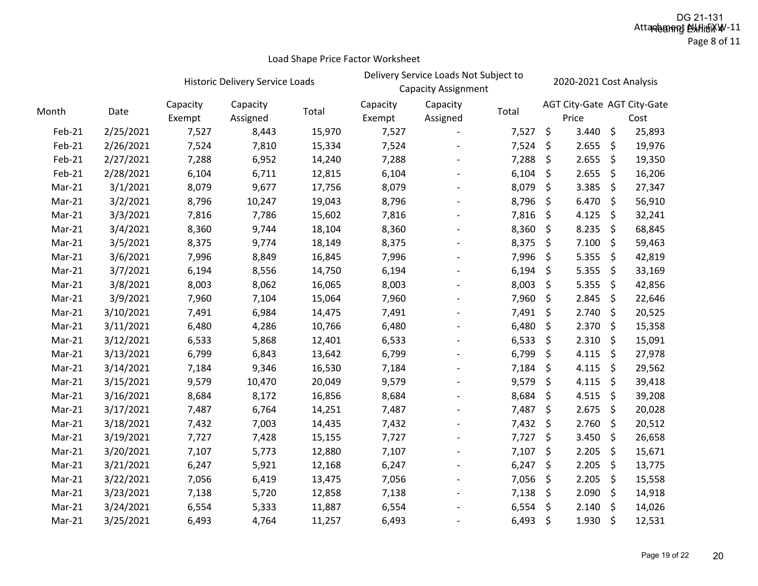# HistoricCapacity

|          |           |                    | <b>Historic Delivery Service Loads</b> |        | Delivery Service Loads Not Subject to<br><b>Capacity Assignment</b> |                      |       |    | 2020-2021 Cost Analysis |         |                                     |  |
|----------|-----------|--------------------|----------------------------------------|--------|---------------------------------------------------------------------|----------------------|-------|----|-------------------------|---------|-------------------------------------|--|
| Month    | Date      | Capacity<br>Exempt | Capacity<br>Assigned                   | Total  | Capacity<br>Exempt                                                  | Capacity<br>Assigned | Total |    | Price                   |         | AGT City-Gate AGT City-Gate<br>Cost |  |
| Feb-21   | 2/25/2021 | 7,527              | 8,443                                  | 15,970 | 7,527                                                               |                      | 7,527 | \$ | 3.440                   | \$      | 25,893                              |  |
| Feb-21   | 2/26/2021 | 7,524              | 7,810                                  | 15,334 | 7,524                                                               |                      | 7,524 | \$ | 2.655                   | \$      | 19,976                              |  |
| Feb-21   | 2/27/2021 | 7,288              | 6,952                                  | 14,240 | 7,288                                                               |                      | 7,288 | \$ | 2.655                   | \$      | 19,350                              |  |
| Feb-21   | 2/28/2021 | 6,104              | 6,711                                  | 12,815 | 6,104                                                               |                      | 6,104 | \$ | 2.655                   | \$      | 16,206                              |  |
| Mar-21   | 3/1/2021  | 8,079              | 9,677                                  | 17,756 | 8,079                                                               |                      | 8,079 | \$ | 3.385                   | \$      | 27,347                              |  |
| Mar-21   | 3/2/2021  | 8,796              | 10,247                                 | 19,043 | 8,796                                                               |                      | 8,796 | \$ | 6.470                   | \$      | 56,910                              |  |
| $Mar-21$ | 3/3/2021  | 7,816              | 7,786                                  | 15,602 | 7,816                                                               |                      | 7,816 | \$ | 4.125                   | \$      | 32,241                              |  |
| Mar-21   | 3/4/2021  | 8,360              | 9,744                                  | 18,104 | 8,360                                                               |                      | 8,360 | \$ | 8.235                   | \$      | 68,845                              |  |
| Mar-21   | 3/5/2021  | 8,375              | 9,774                                  | 18,149 | 8,375                                                               |                      | 8,375 | \$ | 7.100                   | \$      | 59,463                              |  |
| Mar-21   | 3/6/2021  | 7,996              | 8,849                                  | 16,845 | 7,996                                                               |                      | 7,996 | \$ | 5.355                   | \$      | 42,819                              |  |
| Mar-21   | 3/7/2021  | 6,194              | 8,556                                  | 14,750 | 6,194                                                               |                      | 6,194 | \$ | 5.355                   | \$      | 33,169                              |  |
| Mar-21   | 3/8/2021  | 8,003              | 8,062                                  | 16,065 | 8,003                                                               |                      | 8,003 | \$ | 5.355                   | \$      | 42,856                              |  |
| Mar-21   | 3/9/2021  | 7,960              | 7,104                                  | 15,064 | 7,960                                                               |                      | 7,960 | \$ | 2.845                   | \$      | 22,646                              |  |
| Mar-21   | 3/10/2021 | 7,491              | 6,984                                  | 14,475 | 7,491                                                               |                      | 7,491 | \$ | 2.740                   | \$      | 20,525                              |  |
| Mar-21   | 3/11/2021 | 6,480              | 4,286                                  | 10,766 | 6,480                                                               |                      | 6,480 | \$ | 2.370                   | \$      | 15,358                              |  |
| Mar-21   | 3/12/2021 | 6,533              | 5,868                                  | 12,401 | 6,533                                                               |                      | 6,533 | \$ | 2.310                   | \$      | 15,091                              |  |
| Mar-21   | 3/13/2021 | 6,799              | 6,843                                  | 13,642 | 6,799                                                               |                      | 6,799 | \$ | 4.115                   | \$      | 27,978                              |  |
| Mar-21   | 3/14/2021 | 7,184              | 9,346                                  | 16,530 | 7,184                                                               |                      | 7,184 | \$ | 4.115                   | \$      | 29,562                              |  |
| Mar-21   | 3/15/2021 | 9,579              | 10,470                                 | 20,049 | 9,579                                                               |                      | 9,579 | \$ | 4.115                   | \$      | 39,418                              |  |
| Mar-21   | 3/16/2021 | 8,684              | 8,172                                  | 16,856 | 8,684                                                               |                      | 8,684 | \$ | 4.515                   | \$      | 39,208                              |  |
| Mar-21   | 3/17/2021 | 7,487              | 6,764                                  | 14,251 | 7,487                                                               |                      | 7,487 | \$ | 2.675                   | \$      | 20,028                              |  |
| Mar-21   | 3/18/2021 | 7,432              | 7,003                                  | 14,435 | 7,432                                                               |                      | 7,432 | \$ | 2.760                   | \$      | 20,512                              |  |
| Mar-21   | 3/19/2021 | 7,727              | 7,428                                  | 15,155 | 7,727                                                               |                      | 7,727 | \$ | 3.450                   | \$      | 26,658                              |  |
| Mar-21   | 3/20/2021 | 7,107              | 5,773                                  | 12,880 | 7,107                                                               |                      | 7,107 | \$ | 2.205                   | \$      | 15,671                              |  |
| Mar-21   | 3/21/2021 | 6,247              | 5,921                                  | 12,168 | 6,247                                                               |                      | 6,247 | \$ | 2.205                   | \$      | 13,775                              |  |
| Mar-21   | 3/22/2021 | 7,056              | 6,419                                  | 13,475 | 7,056                                                               |                      | 7,056 | \$ | 2.205                   | \$      | 15,558                              |  |
| Mar-21   | 3/23/2021 | 7,138              | 5,720                                  | 12,858 | 7,138                                                               |                      | 7,138 | \$ | 2.090                   | \$      | 14,918                              |  |
| Mar-21   | 3/24/2021 | 6,554              | 5,333                                  | 11,887 | 6,554                                                               |                      | 6,554 | \$ | 2.140                   | \$      | 14,026                              |  |
| Mar-21   | 3/25/2021 | 6,493              | 4,764                                  | 11,257 | 6,493                                                               |                      | 6,493 | \$ | 1.930                   | $\zeta$ | 12,531                              |  |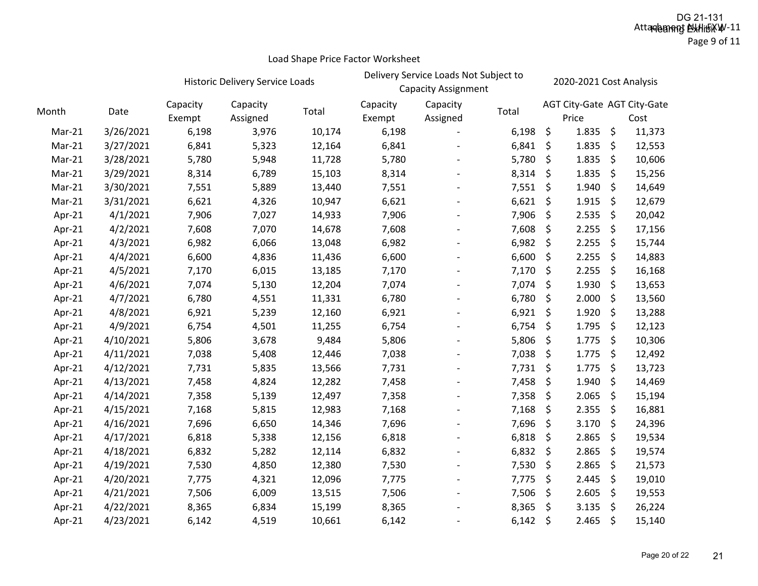Page 9 of 11

|        |           | Historic Delivery Service Loads |                      |        | Delivery Service Loads Not Subject to<br><b>Capacity Assignment</b> |                      |       | 2020-2021 Cost Analysis |                                      |         |        |
|--------|-----------|---------------------------------|----------------------|--------|---------------------------------------------------------------------|----------------------|-------|-------------------------|--------------------------------------|---------|--------|
| Month  | Date      | Capacity<br>Exempt              | Capacity<br>Assigned | Total  | Capacity<br>Exempt                                                  | Capacity<br>Assigned | Total |                         | AGT City-Gate AGT City-Gate<br>Price |         | Cost   |
| Mar-21 | 3/26/2021 | 6,198                           | 3,976                | 10,174 | 6,198                                                               |                      | 6,198 | \$                      | 1.835                                | \$      | 11,373 |
| Mar-21 | 3/27/2021 | 6,841                           | 5,323                | 12,164 | 6,841                                                               |                      | 6,841 | \$                      | 1.835                                | \$      | 12,553 |
| Mar-21 | 3/28/2021 | 5,780                           | 5,948                | 11,728 | 5,780                                                               |                      | 5,780 | \$                      | 1.835                                | \$      | 10,606 |
| Mar-21 | 3/29/2021 | 8,314                           | 6,789                | 15,103 | 8,314                                                               |                      | 8,314 | \$                      | 1.835                                | \$      | 15,256 |
| Mar-21 | 3/30/2021 | 7,551                           | 5,889                | 13,440 | 7,551                                                               |                      | 7,551 | \$                      | 1.940                                | \$      | 14,649 |
| Mar-21 | 3/31/2021 | 6,621                           | 4,326                | 10,947 | 6,621                                                               |                      | 6,621 | \$                      | 1.915                                | \$      | 12,679 |
| Apr-21 | 4/1/2021  | 7,906                           | 7,027                | 14,933 | 7,906                                                               |                      | 7,906 | \$                      | 2.535                                | \$      | 20,042 |
| Apr-21 | 4/2/2021  | 7,608                           | 7,070                | 14,678 | 7,608                                                               |                      | 7,608 | \$                      | 2.255                                | \$      | 17,156 |
| Apr-21 | 4/3/2021  | 6,982                           | 6,066                | 13,048 | 6,982                                                               |                      | 6,982 | \$                      | 2.255                                | \$      | 15,744 |
| Apr-21 | 4/4/2021  | 6,600                           | 4,836                | 11,436 | 6,600                                                               |                      | 6,600 | \$                      | 2.255                                | \$      | 14,883 |
| Apr-21 | 4/5/2021  | 7,170                           | 6,015                | 13,185 | 7,170                                                               |                      | 7,170 | \$                      | 2.255                                | \$      | 16,168 |
| Apr-21 | 4/6/2021  | 7,074                           | 5,130                | 12,204 | 7,074                                                               |                      | 7,074 | \$                      | 1.930                                | $\zeta$ | 13,653 |
| Apr-21 | 4/7/2021  | 6,780                           | 4,551                | 11,331 | 6,780                                                               |                      | 6,780 | \$                      | 2.000                                | \$      | 13,560 |
| Apr-21 | 4/8/2021  | 6,921                           | 5,239                | 12,160 | 6,921                                                               |                      | 6,921 | \$                      | 1.920                                | \$      | 13,288 |
| Apr-21 | 4/9/2021  | 6,754                           | 4,501                | 11,255 | 6,754                                                               |                      | 6,754 | \$                      | 1.795                                | \$      | 12,123 |
| Apr-21 | 4/10/2021 | 5,806                           | 3,678                | 9,484  | 5,806                                                               |                      | 5,806 | \$                      | 1.775                                | \$      | 10,306 |
| Apr-21 | 4/11/2021 | 7,038                           | 5,408                | 12,446 | 7,038                                                               |                      | 7,038 | \$                      | 1.775                                | \$      | 12,492 |
| Apr-21 | 4/12/2021 | 7,731                           | 5,835                | 13,566 | 7,731                                                               |                      | 7,731 | \$                      | 1.775                                | \$      | 13,723 |
| Apr-21 | 4/13/2021 | 7,458                           | 4,824                | 12,282 | 7,458                                                               |                      | 7,458 | \$                      | 1.940                                | \$      | 14,469 |
| Apr-21 | 4/14/2021 | 7,358                           | 5,139                | 12,497 | 7,358                                                               |                      | 7,358 | \$                      | 2.065                                | \$      | 15,194 |
| Apr-21 | 4/15/2021 | 7,168                           | 5,815                | 12,983 | 7,168                                                               |                      | 7,168 | \$                      | 2.355                                | \$      | 16,881 |
| Apr-21 | 4/16/2021 | 7,696                           | 6,650                | 14,346 | 7,696                                                               |                      | 7,696 | \$                      | 3.170                                | \$      | 24,396 |
| Apr-21 | 4/17/2021 | 6,818                           | 5,338                | 12,156 | 6,818                                                               |                      | 6,818 | \$                      | 2.865                                | \$      | 19,534 |
| Apr-21 | 4/18/2021 | 6,832                           | 5,282                | 12,114 | 6,832                                                               |                      | 6,832 | \$                      | 2.865                                | \$      | 19,574 |
| Apr-21 | 4/19/2021 | 7,530                           | 4,850                | 12,380 | 7,530                                                               |                      | 7,530 | \$                      | 2.865                                | \$      | 21,573 |
| Apr-21 | 4/20/2021 | 7,775                           | 4,321                | 12,096 | 7,775                                                               |                      | 7,775 | \$                      | 2.445                                | \$      | 19,010 |
| Apr-21 | 4/21/2021 | 7,506                           | 6,009                | 13,515 | 7,506                                                               |                      | 7,506 | \$                      | 2.605                                | \$      | 19,553 |
| Apr-21 | 4/22/2021 | 8,365                           | 6,834                | 15,199 | 8,365                                                               |                      | 8,365 | \$                      | 3.135                                | \$      | 26,224 |
| Apr-21 | 4/23/2021 | 6,142                           | 4,519                | 10,661 | 6,142                                                               |                      | 6,142 | $\zeta$                 | 2.465                                | -\$     | 15,140 |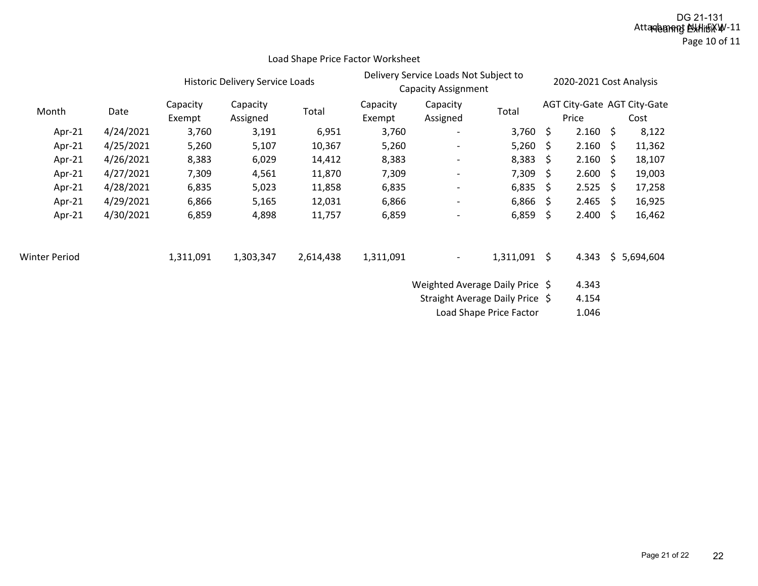### Attakalament NovHiHöxW-11 Page 10 of 11 DG 21-131<br>**Hearing Exhitrixw**

|                      |           |           | Historic Delivery Service Loads |           |           | Delivery Service Loads Not Subject to<br><b>Capacity Assignment</b> |                |                             | 2020-2021 Cost Analysis |    |             |
|----------------------|-----------|-----------|---------------------------------|-----------|-----------|---------------------------------------------------------------------|----------------|-----------------------------|-------------------------|----|-------------|
| Month                |           | Capacity  | Capacity                        | Total     | Capacity  | Capacity                                                            | Total          | AGT City-Gate AGT City-Gate |                         |    |             |
|                      | Date      | Exempt    | Assigned                        |           | Exempt    | Assigned                                                            |                |                             | Price                   |    | Cost        |
| Apr-21               | 4/24/2021 | 3,760     | 3,191                           | 6,951     | 3,760     | $\overline{\phantom{a}}$                                            | 3,760 \$       |                             | 2.160                   | \$ | 8,122       |
| Apr-21               | 4/25/2021 | 5,260     | 5,107                           | 10,367    | 5,260     | $\overline{\phantom{a}}$                                            | 5,260          | \$                          | $2.160 \div$            |    | 11,362      |
| Apr-21               | 4/26/2021 | 8,383     | 6,029                           | 14,412    | 8,383     | $\overline{\phantom{a}}$                                            | 8,383          | -S                          | $2.160 \div$            |    | 18,107      |
| Apr-21               | 4/27/2021 | 7,309     | 4,561                           | 11,870    | 7,309     | $\overline{\phantom{a}}$                                            | 7,309          | S.                          | 2.600                   | \$ | 19,003      |
| Apr-21               | 4/28/2021 | 6,835     | 5,023                           | 11,858    | 6,835     | $\overline{\phantom{0}}$                                            | 6,835          | - \$                        | $2.525$ \$              |    | 17,258      |
| Apr-21               | 4/29/2021 | 6,866     | 5,165                           | 12,031    | 6,866     | $\overline{\phantom{a}}$                                            | 6,866          | -S                          | 2.465                   | Ŝ. | 16,925      |
| Apr-21               | 4/30/2021 | 6,859     | 4,898                           | 11,757    | 6,859     | $\overline{\phantom{a}}$                                            | 6,859          | -\$                         | 2.400                   | \$ | 16,462      |
| <b>Winter Period</b> |           | 1,311,091 | 1,303,347                       | 2,614,438 | 1,311,091 | $\overline{\phantom{a}}$                                            | $1,311,091$ \$ |                             | 4.343                   |    | \$5,694,604 |
|                      |           |           |                                 |           |           | Weighted Average Daily Price \$                                     |                |                             | 4.343                   |    |             |

Load Shape Price Factor Worksheet

Straight Average Daily Price \$4.154

Load Shape Price Factor  $1.046$